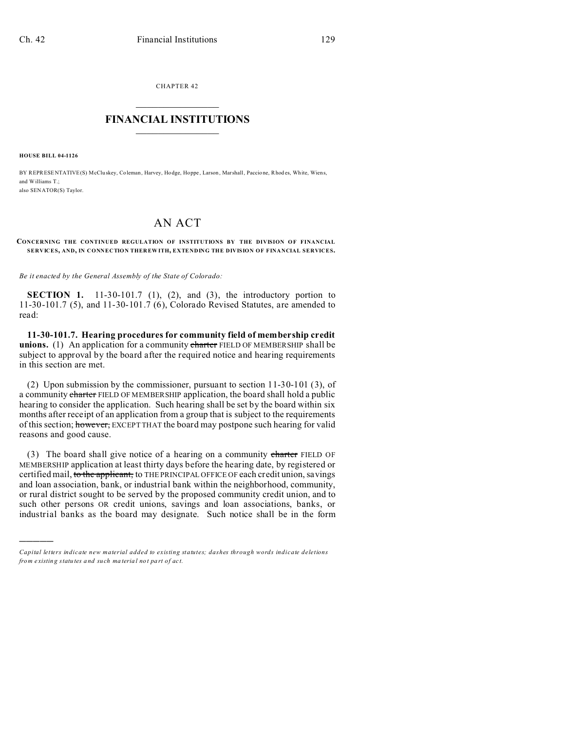CHAPTER 42  $\overline{\phantom{a}}$  , where  $\overline{\phantom{a}}$ 

## **FINANCIAL INSTITUTIONS**  $\frac{1}{2}$  ,  $\frac{1}{2}$  ,  $\frac{1}{2}$  ,  $\frac{1}{2}$  ,  $\frac{1}{2}$  ,  $\frac{1}{2}$  ,  $\frac{1}{2}$

**HOUSE BILL 04-1126**

)))))

BY REPRESENTATIVE(S) McCluskey, Coleman, Harvey, Hodge, Hoppe, Larson, Marshall, Paccione, Rhodes, White, Wiens, and Williams T. also SENATOR(S) Taylor.

# AN ACT

#### **CONCERNING THE CONTINUED REGULATION OF INSTITUTIONS BY THE DIVISION OF FINANCIAL SERVICES, AND, IN CONNECTION THER EWITH, EXTENDING THE DIVISION OF FINANCIAL SERVICES.**

*Be it enacted by the General Assembly of the State of Colorado:*

**SECTION 1.** 11-30-101.7 (1), (2), and (3), the introductory portion to 11-30-101.7 (5), and 11-30-101.7 (6), Colorado Revised Statutes, are amended to read:

**11-30-101.7. Hearing procedures for community field of membership credit** unions. (1) An application for a community charter FIELD OF MEMBERSHIP shall be subject to approval by the board after the required notice and hearing requirements in this section are met.

(2) Upon submission by the commissioner, pursuant to section 11-30-101 (3), of a community charter FIELD OF MEMBERSHIP application, the board shall hold a public hearing to consider the application. Such hearing shall be set by the board within six months after receipt of an application from a group that is subject to the requirements of this section; however, EXCEPT THAT the board may postpone such hearing for valid reasons and good cause.

(3) The board shall give notice of a hearing on a community charter FIELD OF MEMBERSHIP application at least thirty days before the hearing date, by registered or certified mail, to the applicant, to THE PRINCIPAL OFFICE OF each credit union, savings and loan association, bank, or industrial bank within the neighborhood, community, or rural district sought to be served by the proposed community credit union, and to such other persons OR credit unions, savings and loan associations, banks, or industrial banks as the board may designate. Such notice shall be in the form

*Capital letters indicate new material added to existing statutes; dashes through words indicate deletions from e xistin g statu tes a nd such ma teria l no t pa rt of ac t.*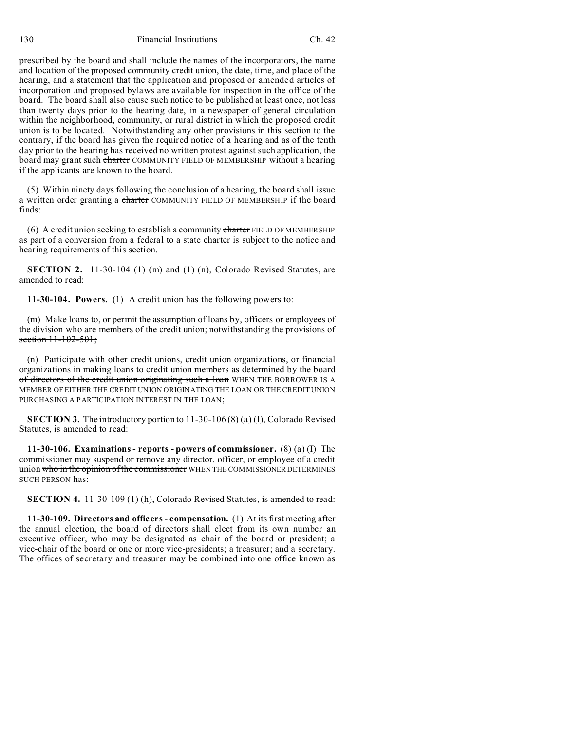130 Financial Institutions Ch. 42

prescribed by the board and shall include the names of the incorporators, the name and location of the proposed community credit union, the date, time, and place of the hearing, and a statement that the application and proposed or amended articles of incorporation and proposed bylaws are available for inspection in the office of the board. The board shall also cause such notice to be published at least once, not less than twenty days prior to the hearing date, in a newspaper of general circulation within the neighborhood, community, or rural district in which the proposed credit union is to be located. Notwithstanding any other provisions in this section to the contrary, if the board has given the required notice of a hearing and as of the tenth day prior to the hearing has received no written protest against such application, the board may grant such charter COMMUNITY FIELD OF MEMBERSHIP without a hearing if the applicants are known to the board.

(5) Within ninety days following the conclusion of a hearing, the board shall issue a written order granting a charter COMMUNITY FIELD OF MEMBERSHIP if the board finds:

(6) A credit union seeking to establish a community charter FIELD OF MEMBERSHIP as part of a conversion from a federal to a state charter is subject to the notice and hearing requirements of this section.

**SECTION 2.** 11-30-104 (1) (m) and (1) (n), Colorado Revised Statutes, are amended to read:

**11-30-104. Powers.** (1) A credit union has the following powers to:

(m) Make loans to, or permit the assumption of loans by, officers or employees of the division who are members of the credit union; notwithstanding the provisions of section 11-102-501;

(n) Participate with other credit unions, credit union organizations, or financial organizations in making loans to credit union members as determined by the board of directors of the credit union originating such a loan WHEN THE BORROWER IS A MEMBER OF EITHER THE CREDIT UNION ORIGINATING THE LOAN OR THE CREDIT UNION PURCHASING A PARTICIPATION INTEREST IN THE LOAN;

**SECTION 3.** The introductory portion to 11-30-106 (8) (a) (I), Colorado Revised Statutes, is amended to read:

**11-30-106. Examinations - reports - powers of commissioner.** (8) (a) (I) The commissioner may suspend or remove any director, officer, or employee of a credit union who in the opinion of the commissioner WHEN THE COMMISSIONER DETERMINES SUCH PERSON has:

**SECTION 4.** 11-30-109 (1) (h), Colorado Revised Statutes, is amended to read:

**11-30-109. Directors and officers - compensation.** (1) At its first meeting after the annual election, the board of directors shall elect from its own number an executive officer, who may be designated as chair of the board or president; a vice-chair of the board or one or more vice-presidents; a treasurer; and a secretary. The offices of secretary and treasurer may be combined into one office known as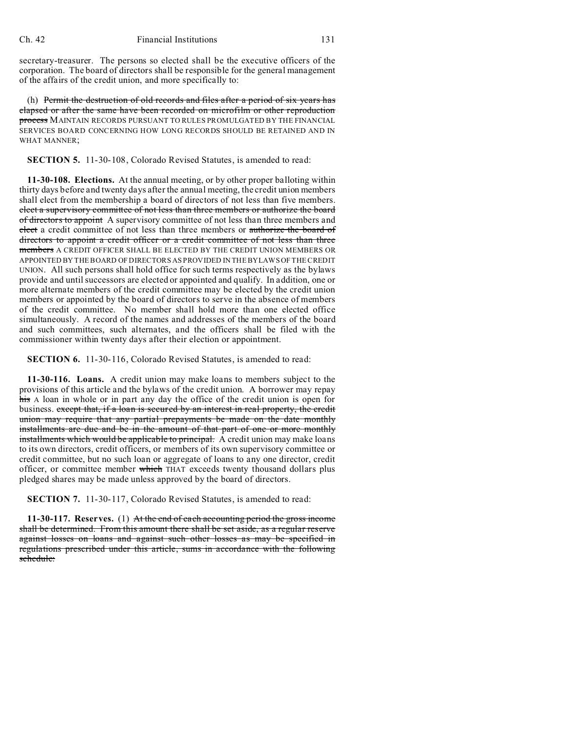secretary-treasurer. The persons so elected shall be the executive officers of the corporation. The board of directors shall be responsible for the general management of the affairs of the credit union, and more specifically to:

(h) Permit the destruction of old records and files after a period of six years has elapsed or after the same have been recorded on microfilm or other reproduction process MAINTAIN RECORDS PURSUANT TO RULES PROMULGATED BY THE FINANCIAL SERVICES BOARD CONCERNING HOW LONG RECORDS SHOULD BE RETAINED AND IN WHAT MANNER;

**SECTION 5.** 11-30-108, Colorado Revised Statutes, is amended to read:

**11-30-108. Elections.** At the annual meeting, or by other proper balloting within thirty days before and twenty days after the annual meeting, the credit union members shall elect from the membership a board of directors of not less than five members. elect a supervisory committee of not less than three members or authorize the board of directors to appoint A supervisory committee of not less than three members and elect a credit committee of not less than three members or authorize the board of directors to appoint a credit officer or a credit committee of not less than three members A CREDIT OFFICER SHALL BE ELECTED BY THE CREDIT UNION MEMBERS OR APPOINTED BY THE BOARD OF DIRECTORS AS PROVIDED IN THE BYLAWS OF THE CREDIT UNION. All such persons shall hold office for such terms respectively as the bylaws provide and until successors are elected or appointed and qualify. In addition, one or more alternate members of the credit committee may be elected by the credit union members or appointed by the board of directors to serve in the absence of members of the credit committee. No member shall hold more than one elected office simultaneously. A record of the names and addresses of the members of the board and such committees, such alternates, and the officers shall be filed with the commissioner within twenty days after their election or appointment.

**SECTION 6.** 11-30-116, Colorado Revised Statutes, is amended to read:

**11-30-116. Loans.** A credit union may make loans to members subject to the provisions of this article and the bylaws of the credit union. A borrower may repay his A loan in whole or in part any day the office of the credit union is open for business. except that, if a loan is secured by an interest in real property, the credit union may require that any partial prepayments be made on the date monthly installments are due and be in the amount of that part of one or more monthly installments which would be applicable to principal. A credit union may make loans to its own directors, credit officers, or members of its own supervisory committee or credit committee, but no such loan or aggregate of loans to any one director, credit officer, or committee member which THAT exceeds twenty thousand dollars plus pledged shares may be made unless approved by the board of directors.

**SECTION 7.** 11-30-117, Colorado Revised Statutes, is amended to read:

**11-30-117. Reserves.** (1) At the end of each accounting period the gross income shall be determined. From this amount there shall be set aside, as a regular reserve against losses on loans and against such other losses as may be specified in regulations prescribed under this article, sums in accordance with the following schedule: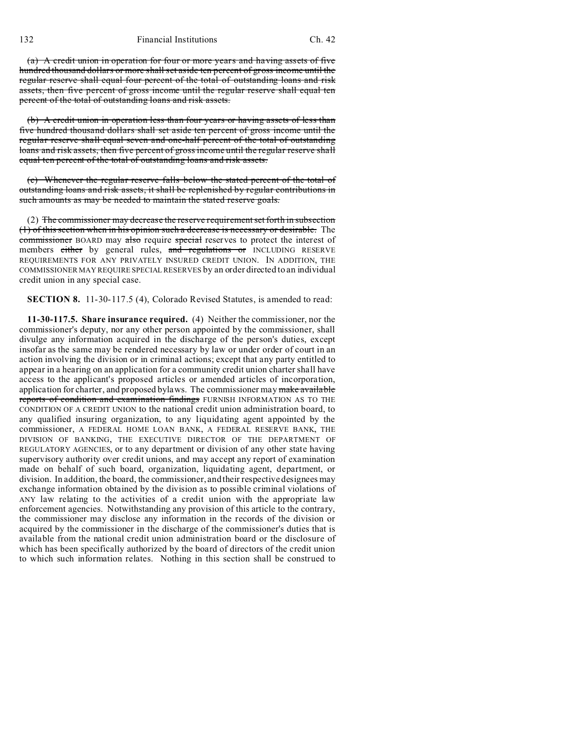(a) A credit union in operation for four or more years and having assets of five hundred thousand dollars or more shall set aside ten percent of gross income until the regular reserve shall equal four percent of the total of outstanding loans and risk assets, then five percent of gross income until the regular reserve shall equal ten percent of the total of outstanding loans and risk assets.

(b) A credit union in operation less than four years or having assets of less than five hundred thousand dollars shall set aside ten percent of gross income until the regular reserve shall equal seven and one-half percent of the total of outstanding loans and risk assets, then five percent of gross income until the regular reserve shall equal ten percent of the total of outstanding loans and risk assets.

(c) Whenever the regular reserve falls below the stated percent of the total of outstanding loans and risk assets, it shall be replenished by regular contributions in such amounts as may be needed to maintain the stated reserve goals.

(2) The commissioner may decrease the reserve requirement set forth in subsection (1) of this section when in his opinion such a decrease is necessary or desirable. The commissioner BOARD may also require special reserves to protect the interest of members either by general rules, and regulations or INCLUDING RESERVE REQUIREMENTS FOR ANY PRIVATELY INSURED CREDIT UNION. IN ADDITION, THE COMMISSIONER MAY REQUIRE SPECIAL RESERVES by an order directed to an individual credit union in any special case.

**SECTION 8.** 11-30-117.5 (4), Colorado Revised Statutes, is amended to read:

**11-30-117.5. Share insurance required.** (4) Neither the commissioner, nor the commissioner's deputy, nor any other person appointed by the commissioner, shall divulge any information acquired in the discharge of the person's duties, except insofar as the same may be rendered necessary by law or under order of court in an action involving the division or in criminal actions; except that any party entitled to appear in a hearing on an application for a community credit union charter shall have access to the applicant's proposed articles or amended articles of incorporation, application for charter, and proposed bylaws. The commissioner may make available reports of condition and examination findings FURNISH INFORMATION AS TO THE CONDITION OF A CREDIT UNION to the national credit union administration board, to any qualified insuring organization, to any liquidating agent appointed by the commissioner, A FEDERAL HOME LOAN BANK, A FEDERAL RESERVE BANK, THE DIVISION OF BANKING, THE EXECUTIVE DIRECTOR OF THE DEPARTMENT OF REGULATORY AGENCIES, or to any department or division of any other state having supervisory authority over credit unions, and may accept any report of examination made on behalf of such board, organization, liquidating agent, department, or division. In addition, the board, the commissioner, and their respective designees may exchange information obtained by the division as to possible criminal violations of ANY law relating to the activities of a credit union with the appropriate law enforcement agencies. Notwithstanding any provision of this article to the contrary, the commissioner may disclose any information in the records of the division or acquired by the commissioner in the discharge of the commissioner's duties that is available from the national credit union administration board or the disclosure of which has been specifically authorized by the board of directors of the credit union to which such information relates. Nothing in this section shall be construed to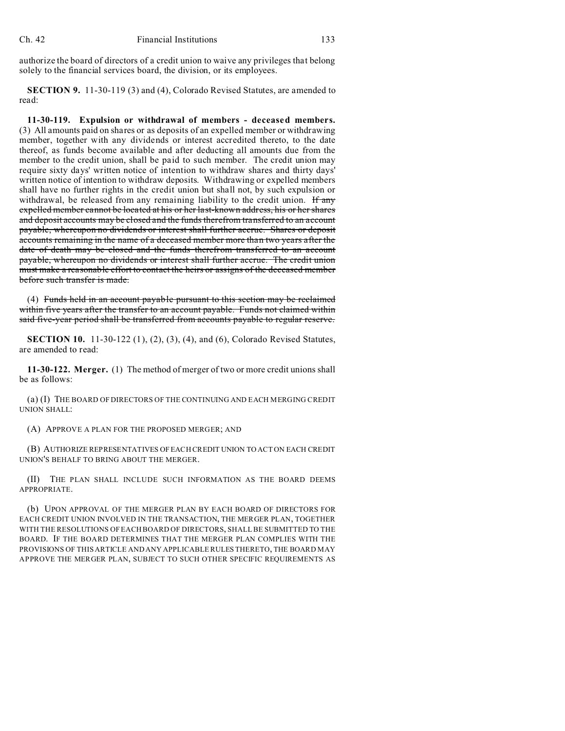authorize the board of directors of a credit union to waive any privileges that belong solely to the financial services board, the division, or its employees.

**SECTION 9.** 11-30-119 (3) and (4), Colorado Revised Statutes, are amended to read:

**11-30-119. Expulsion or withdrawal of members - deceased members.** (3) All amounts paid on shares or as deposits of an expelled member or withdrawing member, together with any dividends or interest accredited thereto, to the date thereof, as funds become available and after deducting all amounts due from the member to the credit union, shall be paid to such member. The credit union may require sixty days' written notice of intention to withdraw shares and thirty days' written notice of intention to withdraw deposits. Withdrawing or expelled members shall have no further rights in the credit union but shall not, by such expulsion or withdrawal, be released from any remaining liability to the credit union.  $\frac{1}{2}$  any expelled member cannot be located at his or her last-known address, his or her shares and deposit accounts may be closed and the funds therefrom transferred to an account payable, whereupon no dividends or interest shall further accrue. Shares or deposit accounts remaining in the name of a deceased member more than two years after the date of death may be closed and the funds therefrom transferred to an account payable, whereupon no dividends or interest shall further accrue. The credit union must make a reasonable effort to contact the heirs or assigns of the deceased member before such transfer is made.

(4) Funds held in an account payable pursuant to this section may be reclaimed within five years after the transfer to an account payable. Funds not claimed within said five-year period shall be transferred from accounts payable to regular reserve.

**SECTION 10.** 11-30-122 (1), (2), (3), (4), and (6), Colorado Revised Statutes, are amended to read:

**11-30-122. Merger.** (1) The method of merger of two or more credit unions shall be as follows:

(a) (I) THE BOARD OF DIRECTORS OF THE CONTINUING AND EACH MERGING CREDIT UNION SHALL:

(A) APPROVE A PLAN FOR THE PROPOSED MERGER; AND

(B) AUTHORIZE REPRESENTATIVES OF EACH CREDIT UNION TO ACT ON EACH CREDIT UNION'S BEHALF TO BRING ABOUT THE MERGER.

(II) THE PLAN SHALL INCLUDE SUCH INFORMATION AS THE BOARD DEEMS APPROPRIATE.

(b) UPON APPROVAL OF THE MERGER PLAN BY EACH BOARD OF DIRECTORS FOR EACH CREDIT UNION INVOLVED IN THE TRANSACTION, THE MERGER PLAN, TOGETHER WITH THE RESOLUTIONS OF EACH BOARD OF DIRECTORS, SHALL BE SUBMITTED TO THE BOARD. IF THE BOARD DETERMINES THAT THE MERGER PLAN COMPLIES WITH THE PROVISIONS OF THIS ARTICLE AND ANY APPLICABLE RULES THERETO, THE BOARD MAY APPROVE THE MERGER PLAN, SUBJECT TO SUCH OTHER SPECIFIC REQUIREMENTS AS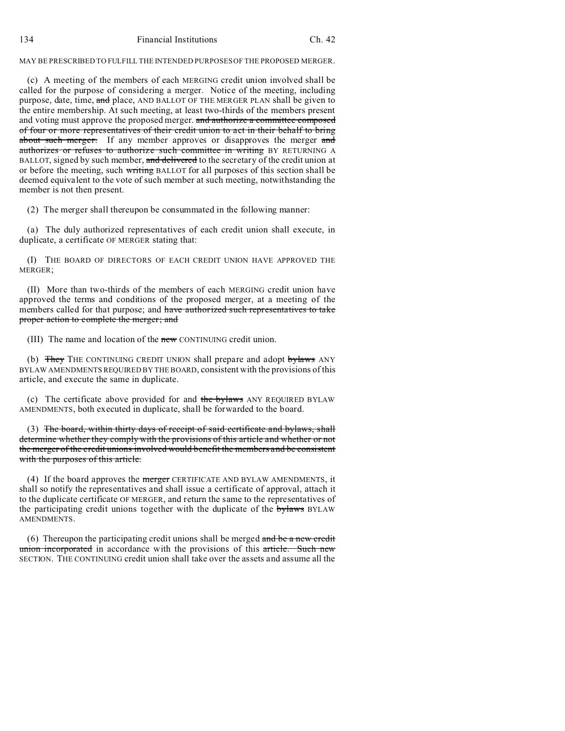## MAY BE PRESCRIBED TO FULFILL THE INTENDED PURPOSES OF THE PROPOSED MERGER.

(c) A meeting of the members of each MERGING credit union involved shall be called for the purpose of considering a merger. Notice of the meeting, including purpose, date, time, and place, AND BALLOT OF THE MERGER PLAN shall be given to the entire membership. At such meeting, at least two-thirds of the members present and voting must approve the proposed merger. and authorize a committee composed of four or more representatives of their credit union to act in their behalf to bring about such merger. If any member approves or disapproves the merger and authorizes or refuses to authorize such committee in writing BY RETURNING A BALLOT, signed by such member, and delivered to the secretary of the credit union at or before the meeting, such writing BALLOT for all purposes of this section shall be deemed equivalent to the vote of such member at such meeting, notwithstanding the member is not then present.

(2) The merger shall thereupon be consummated in the following manner:

(a) The duly authorized representatives of each credit union shall execute, in duplicate, a certificate OF MERGER stating that:

(I) THE BOARD OF DIRECTORS OF EACH CREDIT UNION HAVE APPROVED THE MERGER;

(II) More than two-thirds of the members of each MERGING credit union have approved the terms and conditions of the proposed merger, at a meeting of the members called for that purpose; and have authorized such representatives to take proper action to complete the merger; and

(III) The name and location of the new CONTINUING credit union.

(b) They THE CONTINUING CREDIT UNION shall prepare and adopt bylaws ANY BYLAW AMENDMENTS REQUIRED BY THE BOARD, consistent with the provisions of this article, and execute the same in duplicate.

(c) The certificate above provided for and the bylaws ANY REQUIRED BYLAW AMENDMENTS, both executed in duplicate, shall be forwarded to the board.

(3) The board, within thirty days of receipt of said certificate and bylaws, shall determine whether they comply with the provisions of this article and whether or not the merger of the credit unions involved would benefit the members and be consistent with the purposes of this article.

(4) If the board approves the merger CERTIFICATE AND BYLAW AMENDMENTS, it shall so notify the representatives and shall issue a certificate of approval, attach it to the duplicate certificate OF MERGER, and return the same to the representatives of the participating credit unions together with the duplicate of the bylaws BYLAW AMENDMENTS.

(6) Thereupon the participating credit unions shall be merged and be a new credit union incorporated in accordance with the provisions of this article. Such new SECTION. THE CONTINUING credit union shall take over the assets and assume all the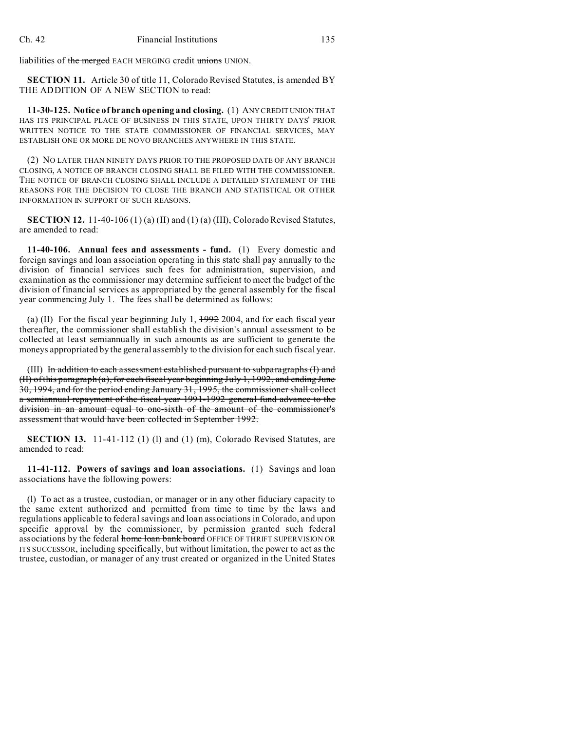liabilities of the merged EACH MERGING credit unions UNION.

**SECTION 11.** Article 30 of title 11, Colorado Revised Statutes, is amended BY THE ADDITION OF A NEW SECTION to read:

**11-30-125. Notice of branch opening and closing.** (1) ANY CREDIT UNION THAT HAS ITS PRINCIPAL PLACE OF BUSINESS IN THIS STATE, UPON THIRTY DAYS' PRIOR WRITTEN NOTICE TO THE STATE COMMISSIONER OF FINANCIAL SERVICES, MAY ESTABLISH ONE OR MORE DE NOVO BRANCHES ANYWHERE IN THIS STATE.

(2) NO LATER THAN NINETY DAYS PRIOR TO THE PROPOSED DATE OF ANY BRANCH CLOSING, A NOTICE OF BRANCH CLOSING SHALL BE FILED WITH THE COMMISSIONER. THE NOTICE OF BRANCH CLOSING SHALL INCLUDE A DETAILED STATEMENT OF THE REASONS FOR THE DECISION TO CLOSE THE BRANCH AND STATISTICAL OR OTHER INFORMATION IN SUPPORT OF SUCH REASONS.

**SECTION 12.** 11-40-106 (1) (a) (II) and (1) (a) (III), Colorado Revised Statutes, are amended to read:

**11-40-106. Annual fees and assessments - fund.** (1) Every domestic and foreign savings and loan association operating in this state shall pay annually to the division of financial services such fees for administration, supervision, and examination as the commissioner may determine sufficient to meet the budget of the division of financial services as appropriated by the general assembly for the fiscal year commencing July 1. The fees shall be determined as follows:

(a) (II) For the fiscal year beginning July 1,  $\frac{1992}{2004}$ , and for each fiscal year thereafter, the commissioner shall establish the division's annual assessment to be collected at least semiannually in such amounts as are sufficient to generate the moneys appropriated by the general assembly to the division for each such fiscal year.

(III) In addition to each assessment established pursuant to subparagraphs (I) and (II) of this paragraph (a), for each fiscal year beginning July 1, 1992, and ending June 30, 1994, and for the period ending January 31, 1995, the commissioner shall collect a semiannual repayment of the fiscal year 1991-1992 general fund advance to the division in an amount equal to one-sixth of the amount of the commissioner's assessment that would have been collected in September 1992.

**SECTION 13.** 11-41-112 (1) (l) and (1) (m), Colorado Revised Statutes, are amended to read:

**11-41-112. Powers of savings and loan associations.** (1) Savings and loan associations have the following powers:

(l) To act as a trustee, custodian, or manager or in any other fiduciary capacity to the same extent authorized and permitted from time to time by the laws and regulations applicable to federal savings and loan associations in Colorado, and upon specific approval by the commissioner, by permission granted such federal associations by the federal home loan bank board OFFICE OF THRIFT SUPERVISION OR ITS SUCCESSOR, including specifically, but without limitation, the power to act as the trustee, custodian, or manager of any trust created or organized in the United States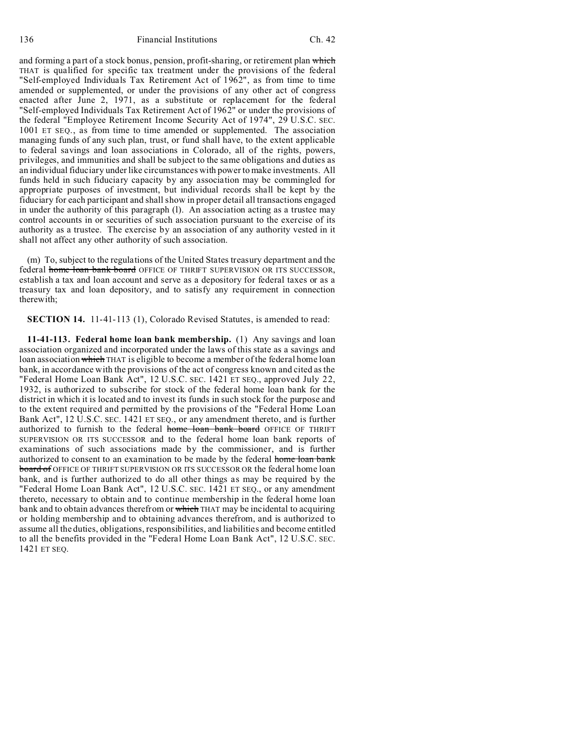and forming a part of a stock bonus, pension, profit-sharing, or retirement plan which THAT is qualified for specific tax treatment under the provisions of the federal "Self-employed Individuals Tax Retirement Act of 1962", as from time to time amended or supplemented, or under the provisions of any other act of congress enacted after June 2, 1971, as a substitute or replacement for the federal "Self-employed Individuals Tax Retirement Act of 1962" or under the provisions of the federal "Employee Retirement Income Security Act of 1974", 29 U.S.C. SEC. 1001 ET SEQ., as from time to time amended or supplemented. The association managing funds of any such plan, trust, or fund shall have, to the extent applicable to federal savings and loan associations in Colorado, all of the rights, powers, privileges, and immunities and shall be subject to the same obligations and duties as an individual fiduciary under like circumstances with power to make investments. All funds held in such fiduciary capacity by any association may be commingled for appropriate purposes of investment, but individual records shall be kept by the fiduciary for each participant and shall show in proper detail all transactions engaged in under the authority of this paragraph (l). An association acting as a trustee may control accounts in or securities of such association pursuant to the exercise of its authority as a trustee. The exercise by an association of any authority vested in it shall not affect any other authority of such association.

(m) To, subject to the regulations of the United States treasury department and the federal home loan bank board OFFICE OF THRIFT SUPERVISION OR ITS SUCCESSOR, establish a tax and loan account and serve as a depository for federal taxes or as a treasury tax and loan depository, and to satisfy any requirement in connection therewith;

**SECTION 14.** 11-41-113 (1), Colorado Revised Statutes, is amended to read:

**11-41-113. Federal home loan bank membership.** (1) Any savings and loan association organized and incorporated under the laws of this state as a savings and loan association which THAT is eligible to become a member of the federal home loan bank, in accordance with the provisions of the act of congress known and cited as the "Federal Home Loan Bank Act", 12 U.S.C. SEC. 1421 ET SEQ., approved July 22, 1932, is authorized to subscribe for stock of the federal home loan bank for the district in which it is located and to invest its funds in such stock for the purpose and to the extent required and permitted by the provisions of the "Federal Home Loan Bank Act", 12 U.S.C. SEC. 1421 ET SEQ., or any amendment thereto, and is further authorized to furnish to the federal home loan bank board OFFICE OF THRIFT SUPERVISION OR ITS SUCCESSOR and to the federal home loan bank reports of examinations of such associations made by the commissioner, and is further authorized to consent to an examination to be made by the federal home loan bank board of OFFICE OF THRIFT SUPERVISION OR ITS SUCCESSOR OR the federal home loan bank, and is further authorized to do all other things as may be required by the "Federal Home Loan Bank Act", 12 U.S.C. SEC. 1421 ET SEQ., or any amendment thereto, necessary to obtain and to continue membership in the federal home loan bank and to obtain advances therefrom or which THAT may be incidental to acquiring or holding membership and to obtaining advances therefrom, and is authorized to assume all the duties, obligations, responsibilities, and liabilities and become entitled to all the benefits provided in the "Federal Home Loan Bank Act", 12 U.S.C. SEC. 1421 ET SEQ.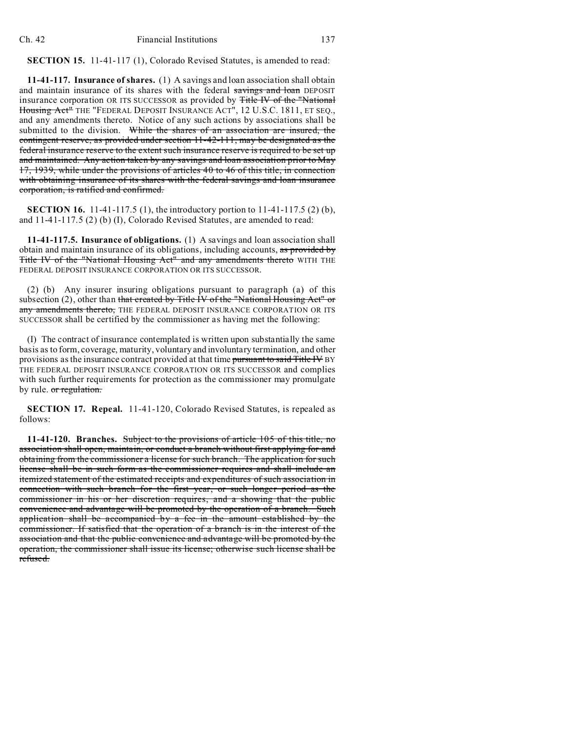**SECTION 15.** 11-41-117 (1), Colorado Revised Statutes, is amended to read:

**11-41-117. Insurance of shares.** (1) A savings and loan association shall obtain and maintain insurance of its shares with the federal savings and loan DEPOSIT insurance corporation OR ITS SUCCESSOR as provided by Title IV of the "National Housing Act<sup>"</sup> THE "FEDERAL DEPOSIT INSURANCE ACT", 12 U.S.C. 1811, ET SEQ., and any amendments thereto. Notice of any such actions by associations shall be submitted to the division. While the shares of an association are insured, the contingent reserve, as provided under section 11-42-111, may be designated as the federal insurance reserve to the extent such insurance reserve is required to be set up and maintained. Any action taken by any savings and loan association prior to May 17, 1939, while under the provisions of articles 40 to 46 of this title, in connection with obtaining insurance of its shares with the federal savings and loan insurance corporation, is ratified and confirmed.

**SECTION 16.** 11-41-117.5 (1), the introductory portion to 11-41-117.5 (2) (b), and 11-41-117.5 (2) (b) (I), Colorado Revised Statutes, are amended to read:

**11-41-117.5. Insurance of obligations.** (1) A savings and loan association shall obtain and maintain insurance of its obligations, including accounts, as provided by Title IV of the "National Housing Act" and any amendments thereto WITH THE FEDERAL DEPOSIT INSURANCE CORPORATION OR ITS SUCCESSOR.

(2) (b) Any insurer insuring obligations pursuant to paragraph (a) of this subsection  $(2)$ , other than that created by Title IV of the "National Housing Act" or any amendments thereto, THE FEDERAL DEPOSIT INSURANCE CORPORATION OR ITS SUCCESSOR shall be certified by the commissioner as having met the following:

(I) The contract of insurance contemplated is written upon substantially the same basis as to form, coverage, maturity, voluntary and involuntary termination, and other provisions as the insurance contract provided at that time pursuant to said Title IV BY THE FEDERAL DEPOSIT INSURANCE CORPORATION OR ITS SUCCESSOR and complies with such further requirements for protection as the commissioner may promulgate by rule. or regulation.

**SECTION 17. Repeal.** 11-41-120, Colorado Revised Statutes, is repealed as follows:

**11-41-120. Branches.** Subject to the provisions of article 105 of this title, no association shall open, maintain, or conduct a branch without first applying for and obtaining from the commissioner a license for such branch. The application for such license shall be in such form as the commissioner requires and shall include an itemized statement of the estimated receipts and expenditures of such association in connection with such branch for the first year, or such longer period as the commissioner in his or her discretion requires, and a showing that the public convenience and advantage will be promoted by the operation of a branch. Such application shall be accompanied by a fee in the amount established by the commissioner. If satisfied that the operation of a branch is in the interest of the association and that the public convenience and advantage will be promoted by the operation, the commissioner shall issue its license; otherwise such license shall be refused.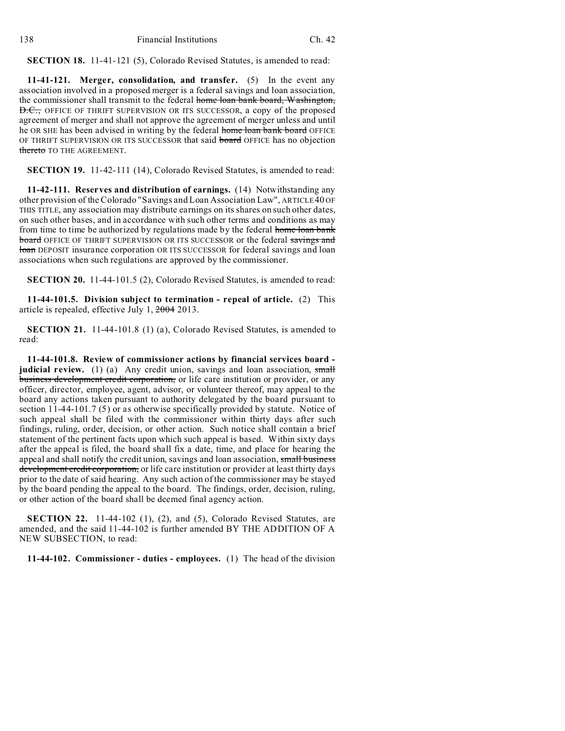**SECTION 18.** 11-41-121 (5), Colorado Revised Statutes, is amended to read:

**11-41-121. Merger, consolidation, and transfer.** (5) In the event any association involved in a proposed merger is a federal savings and loan association, the commissioner shall transmit to the federal home loan bank board, Washington, **D.C.**, OFFICE OF THRIFT SUPERVISION OR ITS SUCCESSOR, a copy of the proposed agreement of merger and shall not approve the agreement of merger unless and until he OR SHE has been advised in writing by the federal home loan bank board OFFICE OF THRIFT SUPERVISION OR ITS SUCCESSOR that said board OFFICE has no objection thereto TO THE AGREEMENT.

**SECTION 19.** 11-42-111 (14), Colorado Revised Statutes, is amended to read:

**11-42-111. Reserves and distribution of earnings.** (14) Notwithstanding any other provision of the Colorado "Savings and Loan Association Law", ARTICLE 40 OF THIS TITLE, any association may distribute earnings on its shares on such other dates, on such other bases, and in accordance with such other terms and conditions as may from time to time be authorized by regulations made by the federal home loan bank board OFFICE OF THRIFT SUPERVISION OR ITS SUCCESSOR or the federal savings and loan DEPOSIT insurance corporation OR ITS SUCCESSOR for federal savings and loan associations when such regulations are approved by the commissioner.

**SECTION 20.** 11-44-101.5 (2), Colorado Revised Statutes, is amended to read:

**11-44-101.5. Division subject to termination - repeal of article.** (2) This article is repealed, effective July 1, 2004 2013.

**SECTION 21.** 11-44-101.8 (1) (a), Colorado Revised Statutes, is amended to read:

**11-44-101.8. Review of commissioner actions by financial services board judicial review.** (1) (a) Any credit union, savings and loan association, small business development credit corporation, or life care institution or provider, or any officer, director, employee, agent, advisor, or volunteer thereof, may appeal to the board any actions taken pursuant to authority delegated by the board pursuant to section 11-44-101.7 (5) or as otherwise specifically provided by statute. Notice of such appeal shall be filed with the commissioner within thirty days after such findings, ruling, order, decision, or other action. Such notice shall contain a brief statement of the pertinent facts upon which such appeal is based. Within sixty days after the appeal is filed, the board shall fix a date, time, and place for hearing the appeal and shall notify the credit union, savings and loan association, small business development credit corporation, or life care institution or provider at least thirty days prior to the date of said hearing. Any such action of the commissioner may be stayed by the board pending the appeal to the board. The findings, order, decision, ruling, or other action of the board shall be deemed final agency action.

**SECTION 22.** 11-44-102 (1), (2), and (5), Colorado Revised Statutes, are amended, and the said 11-44-102 is further amended BY THE ADDITION OF A NEW SUBSECTION, to read:

**11-44-102. Commissioner - duties - employees.** (1) The head of the division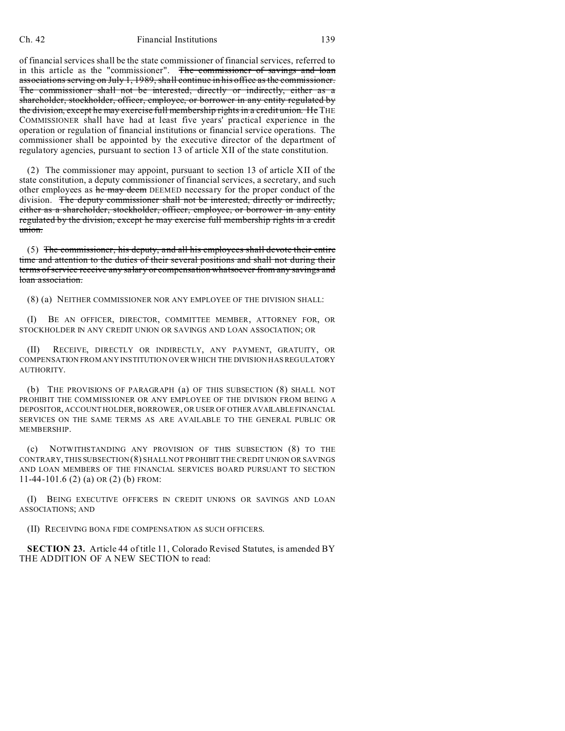of financial services shall be the state commissioner of financial services, referred to in this article as the "commissioner". The commissioner of savings and loan associations serving on July 1, 1989, shall continue in his office as the commissioner. The commissioner shall not be interested, directly or indirectly, either as a shareholder, stockholder, officer, employee, or borrower in any entity regulated by the division, except he may exercise full membership rights in a credit union. He THE COMMISSIONER shall have had at least five years' practical experience in the operation or regulation of financial institutions or financial service operations. The commissioner shall be appointed by the executive director of the department of regulatory agencies, pursuant to section 13 of article XII of the state constitution.

(2) The commissioner may appoint, pursuant to section 13 of article XII of the state constitution, a deputy commissioner of financial services, a secretary, and such other employees as he may deem DEEMED necessary for the proper conduct of the division. The deputy commissioner shall not be interested, directly or indirectly, either as a shareholder, stockholder, officer, employee, or borrower in any entity regulated by the division, except he may exercise full membership rights in a credit union.

(5) The commissioner, his deputy, and all his employees shall devote their entire time and attention to the duties of their several positions and shall not during their terms of service receive any salary or compensation whatsoever from any savings and loan association.

(8) (a) NEITHER COMMISSIONER NOR ANY EMPLOYEE OF THE DIVISION SHALL:

(I) BE AN OFFICER, DIRECTOR, COMMITTEE MEMBER, ATTORNEY FOR, OR STOCKHOLDER IN ANY CREDIT UNION OR SAVINGS AND LOAN ASSOCIATION; OR

(II) RECEIVE, DIRECTLY OR INDIRECTLY, ANY PAYMENT, GRATUITY, OR COMPENSATION FROM ANY INSTITUTION OVER WHICH THE DIVISION HAS REGULATORY AUTHORITY.

(b) THE PROVISIONS OF PARAGRAPH (a) OF THIS SUBSECTION (8) SHALL NOT PROHIBIT THE COMMISSIONER OR ANY EMPLOYEE OF THE DIVISION FROM BEING A DEPOSITOR, ACCOUNT HOLDER, BORROWER, OR USER OF OTHER AVAILABLE FINANCIAL SERVICES ON THE SAME TERMS AS ARE AVAILABLE TO THE GENERAL PUBLIC OR MEMBERSHIP.

(c) NOTWITHSTANDING ANY PROVISION OF THIS SUBSECTION (8) TO THE CONTRARY, THIS SUBSECTION (8) SHALL NOT PROHIBIT THE CREDIT UNION OR SAVINGS AND LOAN MEMBERS OF THE FINANCIAL SERVICES BOARD PURSUANT TO SECTION 11-44-101.6 (2) (a) OR (2) (b) FROM:

(I) BEING EXECUTIVE OFFICERS IN CREDIT UNIONS OR SAVINGS AND LOAN ASSOCIATIONS; AND

(II) RECEIVING BONA FIDE COMPENSATION AS SUCH OFFICERS.

**SECTION 23.** Article 44 of title 11, Colorado Revised Statutes, is amended BY THE ADDITION OF A NEW SECTION to read: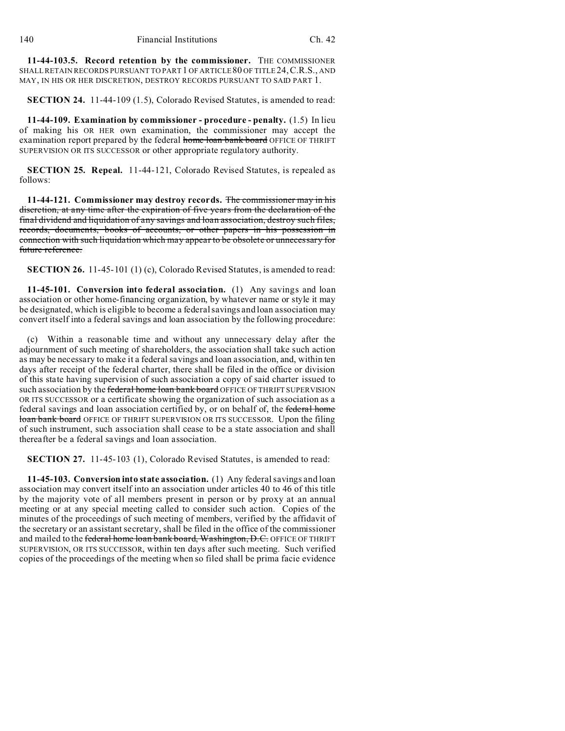**11-44-103.5. Record retention by the commissioner.** THE COMMISSIONER SHALL RETAIN RECORDS PURSUANT TO PART 1 OF ARTICLE 80 OF TITLE 24, C.R.S., AND MAY, IN HIS OR HER DISCRETION, DESTROY RECORDS PURSUANT TO SAID PART 1.

**SECTION 24.** 11-44-109 (1.5), Colorado Revised Statutes, is amended to read:

**11-44-109. Examination by commissioner - procedure - penalty.** (1.5) In lieu of making his OR HER own examination, the commissioner may accept the examination report prepared by the federal home loan bank board OFFICE OF THRIFT SUPERVISION OR ITS SUCCESSOR or other appropriate regulatory authority.

**SECTION 25. Repeal.** 11-44-121, Colorado Revised Statutes, is repealed as follows:

**11-44-121. Commissioner may destroy records.** The commissioner may in his discretion, at any time after the expiration of five years from the declaration of the final dividend and liquidation of any savings and loan association, destroy such files, records, documents, books of accounts, or other papers in his possession in connection with such liquidation which may appear to be obsolete or unnecessary for future reference.

**SECTION 26.** 11-45-101 (1) (c), Colorado Revised Statutes, is amended to read:

**11-45-101. Conversion into federal association.** (1) Any savings and loan association or other home-financing organization, by whatever name or style it may be designated, which is eligible to become a federal savings and loan association may convert itself into a federal savings and loan association by the following procedure:

(c) Within a reasonable time and without any unnecessary delay after the adjournment of such meeting of shareholders, the association shall take such action as may be necessary to make it a federal savings and loan association, and, within ten days after receipt of the federal charter, there shall be filed in the office or division of this state having supervision of such association a copy of said charter issued to such association by the federal home loan bank board OFFICE OF THRIFT SUPERVISION OR ITS SUCCESSOR or a certificate showing the organization of such association as a federal savings and loan association certified by, or on behalf of, the federal home loan bank board OFFICE OF THRIFT SUPERVISION OR ITS SUCCESSOR. Upon the filing of such instrument, such association shall cease to be a state association and shall thereafter be a federal savings and loan association.

**SECTION 27.** 11-45-103 (1), Colorado Revised Statutes, is amended to read:

**11-45-103. Conversion into state association.** (1) Any federal savings and loan association may convert itself into an association under articles 40 to 46 of this title by the majority vote of all members present in person or by proxy at an annual meeting or at any special meeting called to consider such action. Copies of the minutes of the proceedings of such meeting of members, verified by the affidavit of the secretary or an assistant secretary, shall be filed in the office of the commissioner and mailed to the federal home loan bank board, Washington, D.C. OFFICE OF THRIFT SUPERVISION, OR ITS SUCCESSOR, within ten days after such meeting. Such verified copies of the proceedings of the meeting when so filed shall be prima facie evidence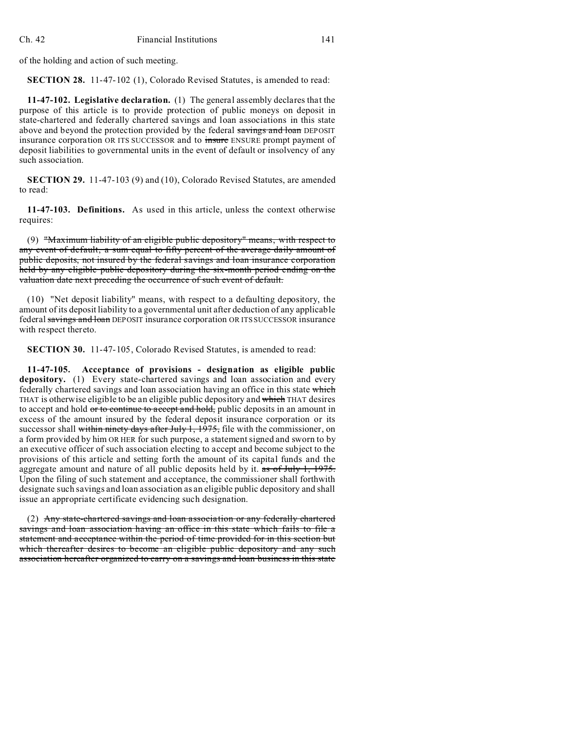of the holding and action of such meeting.

**SECTION 28.** 11-47-102 (1), Colorado Revised Statutes, is amended to read:

**11-47-102. Legislative declaration.** (1) The general assembly declares that the purpose of this article is to provide protection of public moneys on deposit in state-chartered and federally chartered savings and loan associations in this state above and beyond the protection provided by the federal savings and loan DEPOSIT insurance corporation OR ITS SUCCESSOR and to insure ENSURE prompt payment of deposit liabilities to governmental units in the event of default or insolvency of any such association.

**SECTION 29.** 11-47-103 (9) and (10), Colorado Revised Statutes, are amended to read:

**11-47-103. Definitions.** As used in this article, unless the context otherwise requires:

(9) "Maximum liability of an eligible public depository" means, with respect to any event of default, a sum equal to fifty percent of the average daily amount of public deposits, not insured by the federal savings and loan insurance corporation held by any eligible public depository during the six-month period ending on the valuation date next preceding the occurrence of such event of default.

(10) "Net deposit liability" means, with respect to a defaulting depository, the amount of its deposit liability to a governmental unit after deduction of any applicable federal savings and loan DEPOSIT insurance corporation OR ITS SUCCESSOR insurance with respect thereto.

**SECTION 30.** 11-47-105, Colorado Revised Statutes, is amended to read:

**11-47-105. Acceptance of provisions - designation as eligible public depository.** (1) Every state-chartered savings and loan association and every federally chartered savings and loan association having an office in this state which THAT is otherwise eligible to be an eligible public depository and which THAT desires to accept and hold or to continue to accept and hold, public deposits in an amount in excess of the amount insured by the federal deposit insurance corporation or its successor shall within ninety days after July 1, 1975, file with the commissioner, on a form provided by him OR HER for such purpose, a statement signed and sworn to by an executive officer of such association electing to accept and become subject to the provisions of this article and setting forth the amount of its capital funds and the aggregate amount and nature of all public deposits held by it.  $\frac{1}{x}$  as of July 1, 1975. Upon the filing of such statement and acceptance, the commissioner shall forthwith designate such savings and loan association as an eligible public depository and shall issue an appropriate certificate evidencing such designation.

(2) Any state-chartered savings and loan association or any federally chartered savings and loan association having an office in this state which fails to file a statement and acceptance within the period of time provided for in this section but which thereafter desires to become an eligible public depository and any such association hereafter organized to carry on a savings and loan business in this state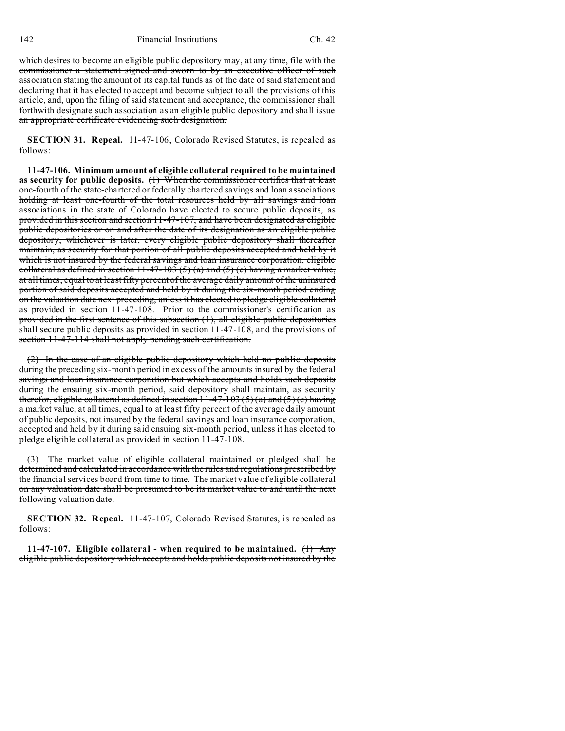which desires to become an eligible public depository may, at any time, file with the commissioner a statement signed and sworn to by an executive officer of such association stating the amount of its capital funds as of the date of said statement and declaring that it has elected to accept and become subject to all the provisions of this article, and, upon the filing of said statement and acceptance, the commissioner shall forthwith designate such association as an eligible public depository and shall issue an appropriate certificate evidencing such designation.

**SECTION 31. Repeal.** 11-47-106, Colorado Revised Statutes, is repealed as follows:

**11-47-106. Minimum amount of eligible collateral required to be maintained as security for public deposits.** (1) When the commissioner certifies that at least one-fourth of the state-chartered or federally chartered savings and loan associations holding at least one-fourth of the total resources held by all savings and loan associations in the state of Colorado have elected to secure public deposits, as provided in this section and section 11-47-107, and have been designated as eligible public depositories or on and after the date of its designation as an eligible public depository, whichever is later, every eligible public depository shall thereafter maintain, as security for that portion of all public deposits accepted and held by it which is not insured by the federal savings and loan insurance corporation, eligible collateral as defined in section  $11-47-103(5)(a)$  and  $(5)(c)$  having a market value, at all times, equal to at least fifty percent of the average daily amount of the uninsured portion of said deposits accepted and held by it during the six-month period ending on the valuation date next preceding, unless it has elected to pledge eligible collateral as provided in section 11-47-108. Prior to the commissioner's certification as provided in the first sentence of this subsection (1), all eligible public depositories shall secure public deposits as provided in section 11-47-108, and the provisions of section 11-47-114 shall not apply pending such certification.

(2) In the case of an eligible public depository which held no public deposits during the preceding six-month period in excess of the amounts insured by the federal savings and loan insurance corporation but which accepts and holds such deposits during the ensuing six-month period, said depository shall maintain, as security therefor, eligible collateral as defined in section  $11-47-103(5)(a)$  and  $(5)(c)$  having a market value, at all times, equal to at least fifty percent of the average daily amount of public deposits, not insured by the federal savings and loan insurance corporation, accepted and held by it during said ensuing six-month period, unless it has elected to pledge eligible collateral as provided in section 11-47-108.

(3) The market value of eligible collateral maintained or pledged shall be determined and calculated in accordance with the rules and regulations prescribed by the financial services board from time to time. The market value of eligible collateral on any valuation date shall be presumed to be its market value to and until the next following valuation date.

**SECTION 32. Repeal.** 11-47-107, Colorado Revised Statutes, is repealed as follows:

**11-47-107. Eligible collateral - when required to be maintained.** (1) Any eligible public depository which accepts and holds public deposits not insured by the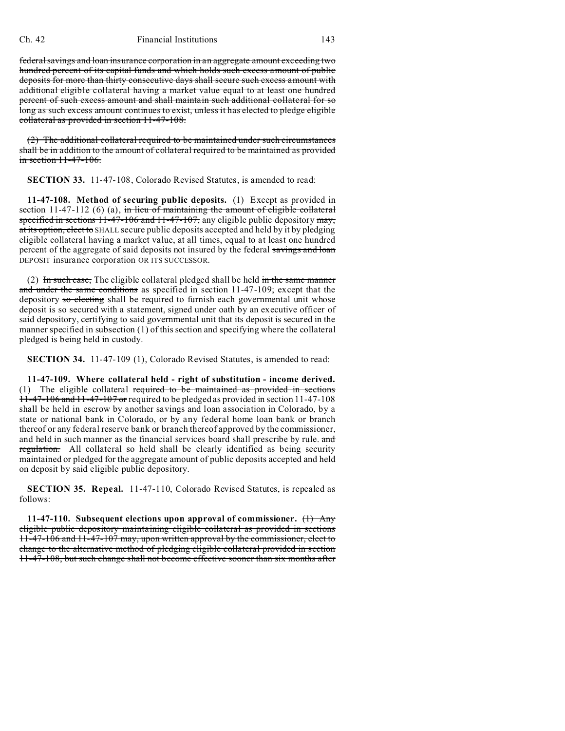federal savings and loan insurance corporation in an aggregate amount exceeding two hundred percent of its capital funds and which holds such excess amount of public deposits for more than thirty consecutive days shall secure such excess amount with additional eligible collateral having a market value equal to at least one hundred percent of such excess amount and shall maintain such additional collateral for so long as such excess amount continues to exist, unless it has elected to pledge eligible collateral as provided in section 11-47-108.

(2) The additional collateral required to be maintained under such circumstances shall be in addition to the amount of collateral required to be maintained as provided  $\frac{\text{in section} 11-47-106}{\text{in section} 11-47}$ 

**SECTION 33.** 11-47-108, Colorado Revised Statutes, is amended to read:

**11-47-108. Method of securing public deposits.** (1) Except as provided in section  $11-47-112$  (6) (a), in lieu of maintaining the amount of eligible collateral specified in sections  $11-47-106$  and  $11-47-107$ , any eligible public depository may, at its option, elect to SHALL secure public deposits accepted and held by it by pledging eligible collateral having a market value, at all times, equal to at least one hundred percent of the aggregate of said deposits not insured by the federal savings and loan DEPOSIT insurance corporation OR ITS SUCCESSOR.

(2) In such case, The eligible collateral pledged shall be held in the same manner and under the same conditions as specified in section 11-47-109; except that the depository so electing shall be required to furnish each governmental unit whose deposit is so secured with a statement, signed under oath by an executive officer of said depository, certifying to said governmental unit that its deposit is secured in the manner specified in subsection (1) of this section and specifying where the collateral pledged is being held in custody.

**SECTION 34.** 11-47-109 (1), Colorado Revised Statutes, is amended to read:

**11-47-109. Where collateral held - right of substitution - income derived.** (1) The eligible collateral required to be maintained as provided in sections 11-47-106 and 11-47-107 or required to be pledged as provided in section 11-47-108 shall be held in escrow by another savings and loan association in Colorado, by a state or national bank in Colorado, or by any federal home loan bank or branch thereof or any federal reserve bank or branch thereof approved by the commissioner, and held in such manner as the financial services board shall prescribe by rule. and regulation. All collateral so held shall be clearly identified as being security maintained or pledged for the aggregate amount of public deposits accepted and held on deposit by said eligible public depository.

**SECTION 35. Repeal.** 11-47-110, Colorado Revised Statutes, is repealed as follows:

**11-47-110. Subsequent elections upon approval of commissioner.** (1) Any eligible public depository maintaining eligible collateral as provided in sections 11-47-106 and 11-47-107 may, upon written approval by the commissioner, elect to change to the alternative method of pledging eligible collateral provided in section 11-47-108, but such change shall not become effective sooner than six months after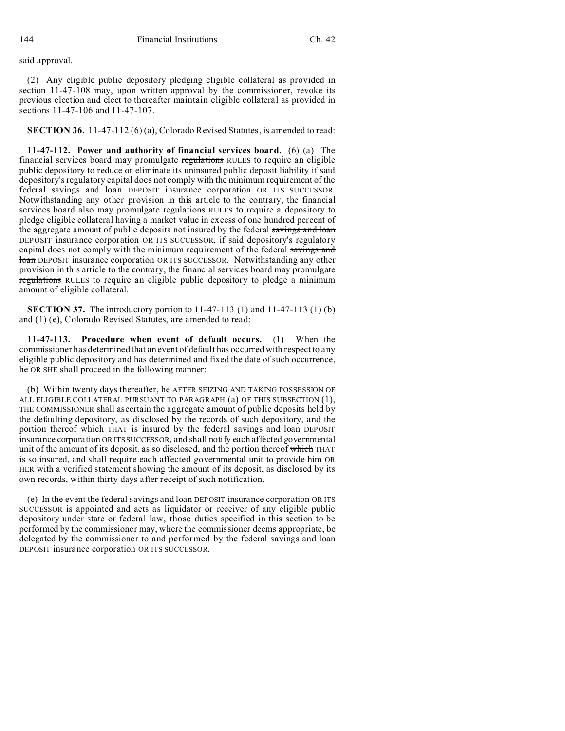said approval.

(2) Any eligible public depository pledging eligible collateral as provided in section 11-47-108 may, upon written approval by the commissioner, revoke its previous election and elect to thereafter maintain eligible collateral as provided in sections 11-47-106 and 11-47-107.

**SECTION 36.** 11-47-112 (6) (a), Colorado Revised Statutes, is amended to read:

**11-47-112. Power and authority of financial services board.** (6) (a) The financial services board may promulgate regulations RULES to require an eligible public depository to reduce or eliminate its uninsured public deposit liability if said depository's regulatory capital does not comply with the minimum requirement of the federal savings and loan DEPOSIT insurance corporation OR ITS SUCCESSOR. Notwithstanding any other provision in this article to the contrary, the financial services board also may promulgate regulations RULES to require a depository to pledge eligible collateral having a market value in excess of one hundred percent of the aggregate amount of public deposits not insured by the federal savings and loan DEPOSIT insurance corporation OR ITS SUCCESSOR, if said depository's regulatory capital does not comply with the minimum requirement of the federal savings and loan DEPOSIT insurance corporation OR ITS SUCCESSOR. Notwithstanding any other provision in this article to the contrary, the financial services board may promulgate regulations RULES to require an eligible public depository to pledge a minimum amount of eligible collateral.

**SECTION 37.** The introductory portion to 11-47-113 (1) and 11-47-113 (1) (b) and (1) (e), Colorado Revised Statutes, are amended to read:

**11-47-113. Procedure when event of default occurs.** (1) When the commissioner has determined that an event of default has occurred with respect to any eligible public depository and has determined and fixed the date of such occurrence, he OR SHE shall proceed in the following manner:

(b) Within twenty days thereafter, he AFTER SEIZING AND TAKING POSSESSION OF ALL ELIGIBLE COLLATERAL PURSUANT TO PARAGRAPH (a) OF THIS SUBSECTION (1), THE COMMISSIONER shall ascertain the aggregate amount of public deposits held by the defaulting depository, as disclosed by the records of such depository, and the portion thereof which THAT is insured by the federal savings and loan DEPOSIT insurance corporation OR ITS SUCCESSOR, and shall notify each affected governmental unit of the amount of its deposit, as so disclosed, and the portion thereof which THAT is so insured, and shall require each affected governmental unit to provide him OR HER with a verified statement showing the amount of its deposit, as disclosed by its own records, within thirty days after receipt of such notification.

(e) In the event the federal savings and loan DEPOSIT insurance corporation OR ITS SUCCESSOR is appointed and acts as liquidator or receiver of any eligible public depository under state or federal law, those duties specified in this section to be performed by the commissioner may, where the commissioner deems appropriate, be delegated by the commissioner to and performed by the federal savings and loan DEPOSIT insurance corporation OR ITS SUCCESSOR.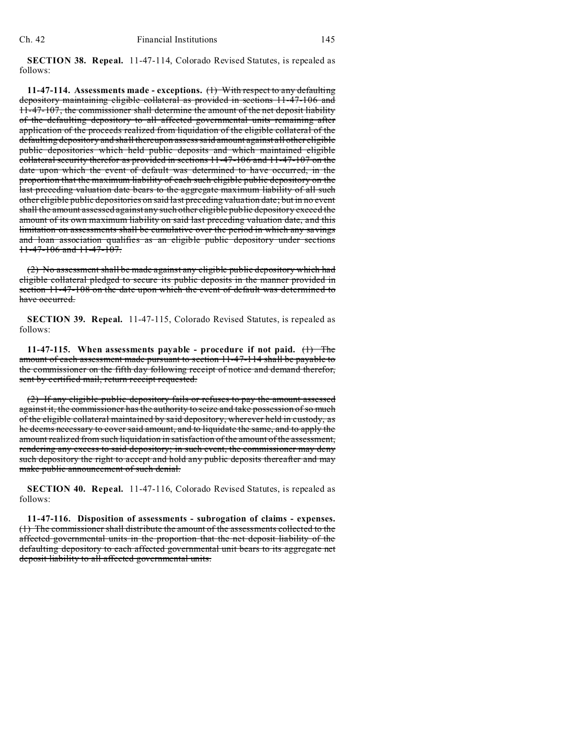**SECTION 38. Repeal.** 11-47-114, Colorado Revised Statutes, is repealed as follows:

**11-47-114. Assessments made - exceptions.** (1) With respect to any defaulting depository maintaining eligible collateral as provided in sections 11-47-106 and 11-47-107, the commissioner shall determine the amount of the net deposit liability of the defaulting depository to all affected governmental units remaining after application of the proceeds realized from liquidation of the eligible collateral of the defaulting depository and shall thereupon assess said amount against all other eligible public depositories which held public deposits and which maintained eligible collateral security therefor as provided in sections 11-47-106 and 11-47-107 on the date upon which the event of default was determined to have occurred, in the proportion that the maximum liability of each such eligible public depository on the last preceding valuation date bears to the aggregate maximum liability of all such other eligible public depositories on said last preceding valuation date; but in no event shall the amount assessed against any such other eligible public depository exceed the amount of its own maximum liability on said last preceding valuation date, and this limitation on assessments shall be cumulative over the period in which any savings and loan association qualifies as an eligible public depository under sections 11-47-106 and 11-47-107.

(2) No assessment shall be made against any eligible public depository which had eligible collateral pledged to secure its public deposits in the manner provided in section 11-47-108 on the date upon which the event of default was determined to have occurred.

**SECTION 39. Repeal.** 11-47-115, Colorado Revised Statutes, is repealed as follows:

**11-47-115.** When assessments payable - procedure if not paid.  $\left(\frac{1}{1}\right)$  The amount of each assessment made pursuant to section 11-47-114 shall be payable to the commissioner on the fifth day following receipt of notice and demand therefor, sent by certified mail, return receipt requested.

(2) If any eligible public depository fails or refuses to pay the amount assessed against it, the commissioner has the authority to seize and take possession of so much of the eligible collateral maintained by said depository, wherever held in custody, as he deems necessary to cover said amount, and to liquidate the same, and to apply the amount realized from such liquidation in satisfaction of the amount of the assessment, rendering any excess to said depository; in such event, the commissioner may deny such depository the right to accept and hold any public deposits thereafter and may make public announcement of such denial.

**SECTION 40. Repeal.** 11-47-116, Colorado Revised Statutes, is repealed as follows:

**11-47-116. Disposition of assessments - subrogation of claims - expenses.** (1) The commissioner shall distribute the amount of the assessments collected to the affected governmental units in the proportion that the net deposit liability of the defaulting depository to each affected governmental unit bears to its aggregate net deposit liability to all affected governmental units.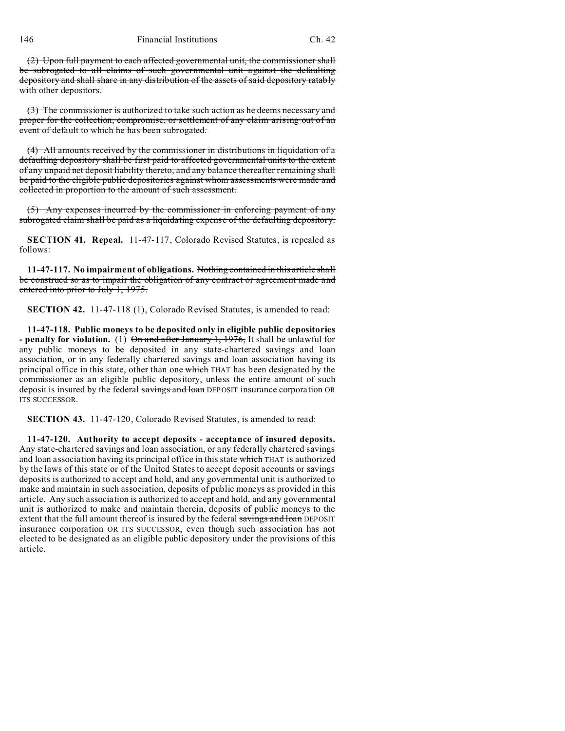146 Financial Institutions Ch. 42

(2) Upon full payment to each affected governmental unit, the commissioner shall be subrogated to all claims of such governmental unit against the defaulting depository and shall share in any distribution of the assets of said depository ratably with other depositors.

(3) The commissioner is authorized to take such action as he deems necessary and proper for the collection, compromise, or settlement of any claim arising out of an event of default to which he has been subrogated.

(4) All amounts received by the commissioner in distributions in liquidation of a defaulting depository shall be first paid to affected governmental units to the extent of any unpaid net deposit liability thereto, and any balance thereafter remaining shall be paid to the eligible public depositories against whom assessments were made and collected in proportion to the amount of such assessment.

(5) Any expenses incurred by the commissioner in enforcing payment of any subrogated claim shall be paid as a liquidating expense of the defaulting depository.

**SECTION 41. Repeal.** 11-47-117, Colorado Revised Statutes, is repealed as follows:

**11-47-117. No impairment of obligations.** Nothing contained in this article shall be construed so as to impair the obligation of any contract or agreement made and entered into prior to July 1, 1975.

**SECTION 42.** 11-47-118 (1), Colorado Revised Statutes, is amended to read:

**11-47-118. Public moneys to be deposited only in eligible public depositories - penalty for violation.** (1) On and after January 1, 1976, It shall be unlawful for any public moneys to be deposited in any state-chartered savings and loan association, or in any federally chartered savings and loan association having its principal office in this state, other than one which THAT has been designated by the commissioner as an eligible public depository, unless the entire amount of such deposit is insured by the federal savings and loan DEPOSIT insurance corporation OR ITS SUCCESSOR.

**SECTION 43.** 11-47-120, Colorado Revised Statutes, is amended to read:

**11-47-120. Authority to accept deposits - acceptance of insured deposits.** Any state-chartered savings and loan association, or any federally chartered savings and loan association having its principal office in this state which THAT is authorized by the laws of this state or of the United States to accept deposit accounts or savings deposits is authorized to accept and hold, and any governmental unit is authorized to make and maintain in such association, deposits of public moneys as provided in this article. Any such association is authorized to accept and hold, and any governmental unit is authorized to make and maintain therein, deposits of public moneys to the extent that the full amount thereof is insured by the federal savings and loan DEPOSIT insurance corporation OR ITS SUCCESSOR, even though such association has not elected to be designated as an eligible public depository under the provisions of this article.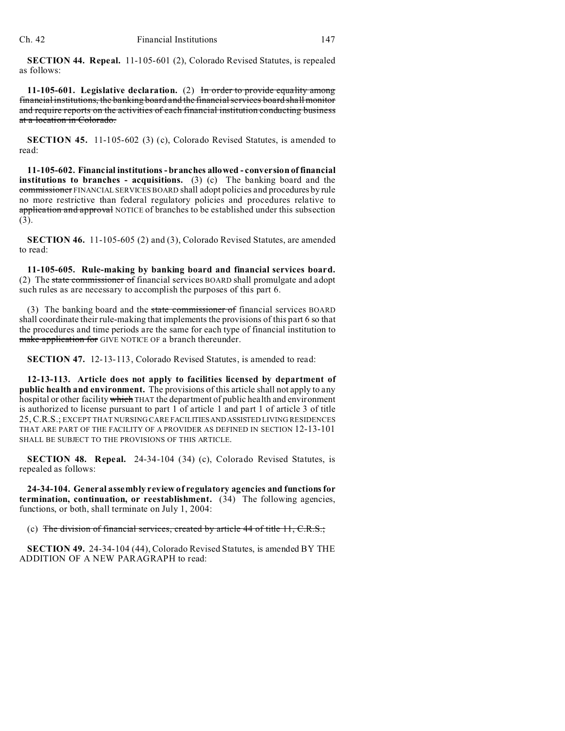**SECTION 44. Repeal.** 11-105-601 (2), Colorado Revised Statutes, is repealed as follows:

**11-105-601. Legislative declaration.** (2) In order to provide equality among financial institutions, the banking board and the financial services board shall monitor and require reports on the activities of each financial institution conducting business at a location in Colorado.

**SECTION 45.** 11-105-602 (3) (c), Colorado Revised Statutes, is amended to read:

**11-105-602. Financial institutions - branches allowed - conversion of financial institutions to branches - acquisitions.** (3) (c) The banking board and the commissioner FINANCIAL SERVICES BOARD shall adopt policies and procedures by rule no more restrictive than federal regulatory policies and procedures relative to application and approval NOTICE of branches to be established under this subsection (3).

**SECTION 46.** 11-105-605 (2) and (3), Colorado Revised Statutes, are amended to read:

**11-105-605. Rule-making by banking board and financial services board.** (2) The state commissioner of financial services BOARD shall promulgate and adopt such rules as are necessary to accomplish the purposes of this part 6.

(3) The banking board and the state commissioner of financial services BOARD shall coordinate their rule-making that implements the provisions of this part 6 so that the procedures and time periods are the same for each type of financial institution to make application for GIVE NOTICE OF a branch thereunder.

**SECTION 47.** 12-13-113, Colorado Revised Statutes, is amended to read:

**12-13-113. Article does not apply to facilities licensed by department of public health and environment.** The provisions of this article shall not apply to any hospital or other facility which THAT the department of public health and environment is authorized to license pursuant to part 1 of article 1 and part 1 of article 3 of title 25, C.R.S.; EXCEPT THAT NURSING CARE FACILITIESANDASSISTED LIVING RESIDENCES THAT ARE PART OF THE FACILITY OF A PROVIDER AS DEFINED IN SECTION 12-13-101 SHALL BE SUBJECT TO THE PROVISIONS OF THIS ARTICLE.

**SECTION 48. Repeal.** 24-34-104 (34) (c), Colorado Revised Statutes, is repealed as follows:

**24-34-104. General assembly review of regulatory agencies and functions for termination, continuation, or reestablishment.** (34) The following agencies, functions, or both, shall terminate on July 1, 2004:

(c) The division of financial services, created by article 44 of title 11, C.R.S.;

**SECTION 49.** 24-34-104 (44), Colorado Revised Statutes, is amended BY THE ADDITION OF A NEW PARAGRAPH to read: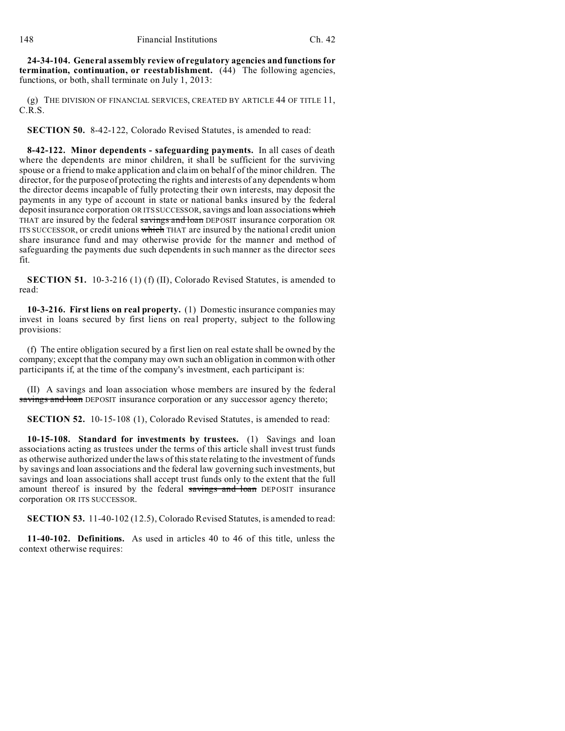**24-34-104. General assembly review of regulatory agencies and functions for termination, continuation, or reestablishment.** (44) The following agencies, functions, or both, shall terminate on July 1, 2013:

(g) THE DIVISION OF FINANCIAL SERVICES, CREATED BY ARTICLE 44 OF TITLE 11, C.R.S.

**SECTION 50.** 8-42-122, Colorado Revised Statutes, is amended to read:

**8-42-122. Minor dependents - safeguarding payments.** In all cases of death where the dependents are minor children, it shall be sufficient for the surviving spouse or a friend to make application and claim on behalf of the minor children. The director, for the purpose of protecting the rights and interests of any dependents whom the director deems incapable of fully protecting their own interests, may deposit the payments in any type of account in state or national banks insured by the federal deposit insurance corporation OR ITS SUCCESSOR, savings and loan associations which THAT are insured by the federal savings and loan DEPOSIT insurance corporation OR ITS SUCCESSOR, or credit unions which THAT are insured by the national credit union share insurance fund and may otherwise provide for the manner and method of safeguarding the payments due such dependents in such manner as the director sees fit.

**SECTION 51.** 10-3-216 (1) (f) (II), Colorado Revised Statutes, is amended to read:

**10-3-216. First liens on real property.** (1) Domestic insurance companies may invest in loans secured by first liens on real property, subject to the following provisions:

(f) The entire obligation secured by a first lien on real estate shall be owned by the company; except that the company may own such an obligation in common with other participants if, at the time of the company's investment, each participant is:

(II) A savings and loan association whose members are insured by the federal savings and loan DEPOSIT insurance corporation or any successor agency thereto;

**SECTION 52.** 10-15-108 (1), Colorado Revised Statutes, is amended to read:

**10-15-108. Standard for investments by trustees.** (1) Savings and loan associations acting as trustees under the terms of this article shall invest trust funds as otherwise authorized under the laws of this state relating to the investment of funds by savings and loan associations and the federal law governing such investments, but savings and loan associations shall accept trust funds only to the extent that the full amount thereof is insured by the federal savings and loan DEPOSIT insurance corporation OR ITS SUCCESSOR.

**SECTION 53.** 11-40-102 (12.5), Colorado Revised Statutes, is amended to read:

**11-40-102. Definitions.** As used in articles 40 to 46 of this title, unless the context otherwise requires: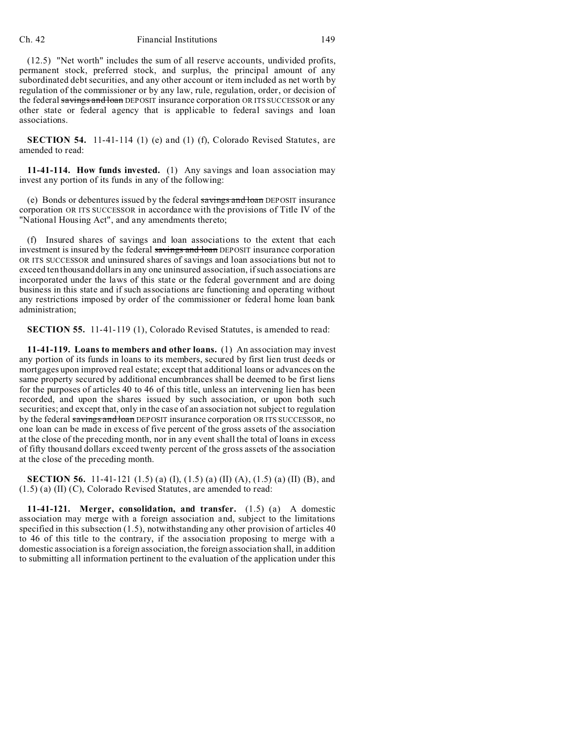## Ch. 42 Financial Institutions 149

(12.5) "Net worth" includes the sum of all reserve accounts, undivided profits, permanent stock, preferred stock, and surplus, the principal amount of any subordinated debt securities, and any other account or item included as net worth by regulation of the commissioner or by any law, rule, regulation, order, or decision of the federal savings and loan DEPOSIT insurance corporation OR ITS SUCCESSOR or any other state or federal agency that is applicable to federal savings and loan associations.

**SECTION 54.** 11-41-114 (1) (e) and (1) (f), Colorado Revised Statutes, are amended to read:

**11-41-114. How funds invested.** (1) Any savings and loan association may invest any portion of its funds in any of the following:

(e) Bonds or debentures issued by the federal savings and loan DEPOSIT insurance corporation OR ITS SUCCESSOR in accordance with the provisions of Title IV of the "National Housing Act", and any amendments thereto;

(f) Insured shares of savings and loan associations to the extent that each investment is insured by the federal savings and loan DEPOSIT insurance corporation OR ITS SUCCESSOR and uninsured shares of savings and loan associations but not to exceed ten thousand dollars in any one uninsured association, if such associations are incorporated under the laws of this state or the federal government and are doing business in this state and if such associations are functioning and operating without any restrictions imposed by order of the commissioner or federal home loan bank administration;

**SECTION 55.** 11-41-119 (1), Colorado Revised Statutes, is amended to read:

**11-41-119. Loans to members and other loans.** (1) An association may invest any portion of its funds in loans to its members, secured by first lien trust deeds or mortgages upon improved real estate; except that additional loans or advances on the same property secured by additional encumbrances shall be deemed to be first liens for the purposes of articles 40 to 46 of this title, unless an intervening lien has been recorded, and upon the shares issued by such association, or upon both such securities; and except that, only in the case of an association not subject to regulation by the federal savings and loan DEPOSIT insurance corporation OR ITS SUCCESSOR, no one loan can be made in excess of five percent of the gross assets of the association at the close of the preceding month, nor in any event shall the total of loans in excess of fifty thousand dollars exceed twenty percent of the gross assets of the association at the close of the preceding month.

**SECTION 56.** 11-41-121 (1.5) (a) (I), (1.5) (a) (II) (A), (1.5) (a) (II) (B), and (1.5) (a) (II) (C), Colorado Revised Statutes, are amended to read:

**11-41-121. Merger, consolidation, and transfer.** (1.5) (a) A domestic association may merge with a foreign association and, subject to the limitations specified in this subsection (1.5), notwithstanding any other provision of articles 40 to 46 of this title to the contrary, if the association proposing to merge with a domestic association is a foreign association, the foreign association shall, in addition to submitting all information pertinent to the evaluation of the application under this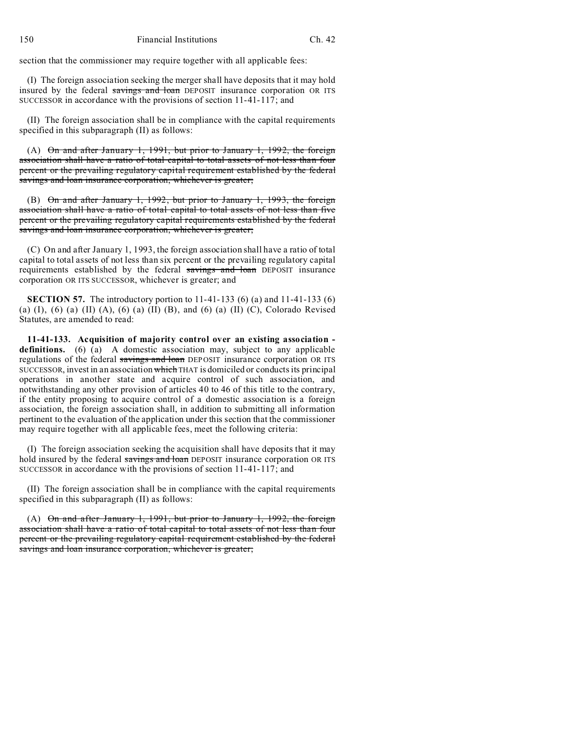section that the commissioner may require together with all applicable fees:

(I) The foreign association seeking the merger shall have deposits that it may hold insured by the federal savings and loan DEPOSIT insurance corporation OR ITS SUCCESSOR in accordance with the provisions of section 11-41-117; and

(II) The foreign association shall be in compliance with the capital requirements specified in this subparagraph (II) as follows:

(A) On and after January 1, 1991, but prior to January 1, 1992, the foreign association shall have a ratio of total capital to total assets of not less than four percent or the prevailing regulatory capital requirement established by the federal savings and loan insurance corporation, whichever is greater;

(B) On and after January 1, 1992, but prior to January 1, 1993, the foreign association shall have a ratio of total capital to total assets of not less than five percent or the prevailing regulatory capital requirements established by the federal savings and loan insurance corporation, whichever is greater;

(C) On and after January 1, 1993, the foreign association shall have a ratio of total capital to total assets of not less than six percent or the prevailing regulatory capital requirements established by the federal savings and loan DEPOSIT insurance corporation OR ITS SUCCESSOR, whichever is greater; and

**SECTION 57.** The introductory portion to 11-41-133 (6) (a) and 11-41-133 (6) (a) (I), (6) (a) (II) (A), (6) (a) (II) (B), and (6) (a) (II) (C), Colorado Revised Statutes, are amended to read:

**11-41-133. Acquisition of majority control over an existing association**  definitions. (6) (a) A domestic association may, subject to any applicable regulations of the federal savings and loan DEPOSIT insurance corporation OR ITS SUCCESSOR, invest in an association which THAT is domiciled or conducts its principal operations in another state and acquire control of such association, and notwithstanding any other provision of articles 40 to 46 of this title to the contrary, if the entity proposing to acquire control of a domestic association is a foreign association, the foreign association shall, in addition to submitting all information pertinent to the evaluation of the application under this section that the commissioner may require together with all applicable fees, meet the following criteria:

(I) The foreign association seeking the acquisition shall have deposits that it may hold insured by the federal savings and loan DEPOSIT insurance corporation OR ITS SUCCESSOR in accordance with the provisions of section 11-41-117; and

(II) The foreign association shall be in compliance with the capital requirements specified in this subparagraph (II) as follows:

(A)  $\Theta$ n and after January 1, 1991, but prior to January 1, 1992, the foreign association shall have a ratio of total capital to total assets of not less than four percent or the prevailing regulatory capital requirement established by the federal savings and loan insurance corporation, whichever is greater;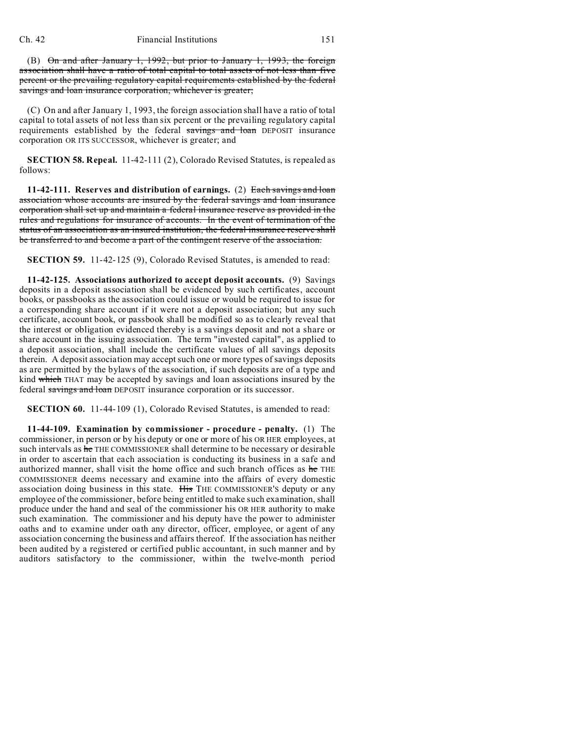(B) On and after January 1, 1992, but prior to January 1, 1993, the foreign association shall have a ratio of total capital to total assets of not less than five percent or the prevailing regulatory capital requirements established by the federal savings and loan insurance corporation, whichever is greater;

(C) On and after January 1, 1993, the foreign association shall have a ratio of total capital to total assets of not less than six percent or the prevailing regulatory capital requirements established by the federal savings and loan DEPOSIT insurance corporation OR ITS SUCCESSOR, whichever is greater; and

**SECTION 58. Repeal.** 11-42-111 (2), Colorado Revised Statutes, is repealed as follows:

**11-42-111. Reserves and distribution of earnings.** (2) Each savings and loan association whose accounts are insured by the federal savings and loan insurance corporation shall set up and maintain a federal insurance reserve as provided in the rules and regulations for insurance of accounts. In the event of termination of the status of an association as an insured institution, the federal insurance reserve shall be transferred to and become a part of the contingent reserve of the association.

**SECTION 59.** 11-42-125 (9), Colorado Revised Statutes, is amended to read:

**11-42-125. Associations authorized to accept deposit accounts.** (9) Savings deposits in a deposit association shall be evidenced by such certificates, account books, or passbooks as the association could issue or would be required to issue for a corresponding share account if it were not a deposit association; but any such certificate, account book, or passbook shall be modified so as to clearly reveal that the interest or obligation evidenced thereby is a savings deposit and not a share or share account in the issuing association. The term "invested capital", as applied to a deposit association, shall include the certificate values of all savings deposits therein. A deposit association may accept such one or more types of savings deposits as are permitted by the bylaws of the association, if such deposits are of a type and kind which THAT may be accepted by savings and loan associations insured by the federal savings and loan DEPOSIT insurance corporation or its successor.

**SECTION 60.** 11-44-109 (1), Colorado Revised Statutes, is amended to read:

**11-44-109. Examination by commissioner - procedure - penalty.** (1) The commissioner, in person or by his deputy or one or more of his OR HER employees, at such intervals as he THE COMMISSIONER shall determine to be necessary or desirable in order to ascertain that each association is conducting its business in a safe and authorized manner, shall visit the home office and such branch offices as he THE COMMISSIONER deems necessary and examine into the affairs of every domestic association doing business in this state. His THE COMMISSIONER'S deputy or any employee of the commissioner, before being entitled to make such examination, shall produce under the hand and seal of the commissioner his OR HER authority to make such examination. The commissioner and his deputy have the power to administer oaths and to examine under oath any director, officer, employee, or agent of any association concerning the business and affairs thereof. If the association has neither been audited by a registered or certified public accountant, in such manner and by auditors satisfactory to the commissioner, within the twelve-month period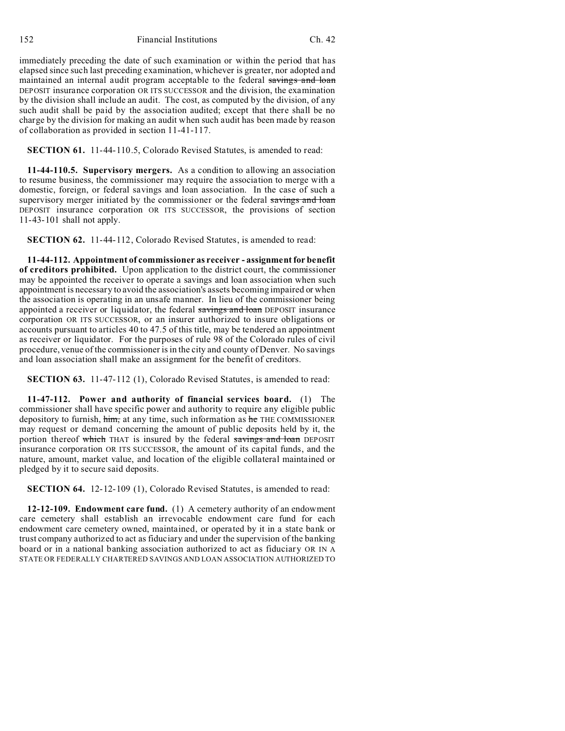152 Financial Institutions Ch. 42

immediately preceding the date of such examination or within the period that has elapsed since such last preceding examination, whichever is greater, nor adopted and maintained an internal audit program acceptable to the federal savings and loan DEPOSIT insurance corporation OR ITS SUCCESSOR and the division, the examination by the division shall include an audit. The cost, as computed by the division, of any such audit shall be paid by the association audited; except that there shall be no charge by the division for making an audit when such audit has been made by reason of collaboration as provided in section 11-41-117.

**SECTION 61.** 11-44-110.5, Colorado Revised Statutes, is amended to read:

**11-44-110.5. Supervisory mergers.** As a condition to allowing an association to resume business, the commissioner may require the association to merge with a domestic, foreign, or federal savings and loan association. In the case of such a supervisory merger initiated by the commissioner or the federal savings and loan DEPOSIT insurance corporation OR ITS SUCCESSOR, the provisions of section 11-43-101 shall not apply.

**SECTION 62.** 11-44-112, Colorado Revised Statutes, is amended to read:

**11-44-112. Appointment of commissioner as receiver - assignment for benefit of creditors prohibited.** Upon application to the district court, the commissioner may be appointed the receiver to operate a savings and loan association when such appointment is necessary to avoid the association's assets becoming impaired or when the association is operating in an unsafe manner. In lieu of the commissioner being appointed a receiver or liquidator, the federal savings and loan DEPOSIT insurance corporation OR ITS SUCCESSOR, or an insurer authorized to insure obligations or accounts pursuant to articles 40 to 47.5 of this title, may be tendered an appointment as receiver or liquidator. For the purposes of rule 98 of the Colorado rules of civil procedure, venue of the commissioner is in the city and county of Denver. No savings and loan association shall make an assignment for the benefit of creditors.

**SECTION 63.** 11-47-112 (1), Colorado Revised Statutes, is amended to read:

**11-47-112. Power and authority of financial services board.** (1) The commissioner shall have specific power and authority to require any eligible public depository to furnish, him, at any time, such information as he THE COMMISSIONER may request or demand concerning the amount of public deposits held by it, the portion thereof which THAT is insured by the federal savings and loan DEPOSIT insurance corporation OR ITS SUCCESSOR, the amount of its capital funds, and the nature, amount, market value, and location of the eligible collateral maintained or pledged by it to secure said deposits.

**SECTION 64.** 12-12-109 (1), Colorado Revised Statutes, is amended to read:

**12-12-109. Endowment care fund.** (1) A cemetery authority of an endowment care cemetery shall establish an irrevocable endowment care fund for each endowment care cemetery owned, maintained, or operated by it in a state bank or trust company authorized to act as fiduciary and under the supervision of the banking board or in a national banking association authorized to act as fiduciary OR IN A STATE OR FEDERALLY CHARTERED SAVINGS AND LOAN ASSOCIATION AUTHORIZED TO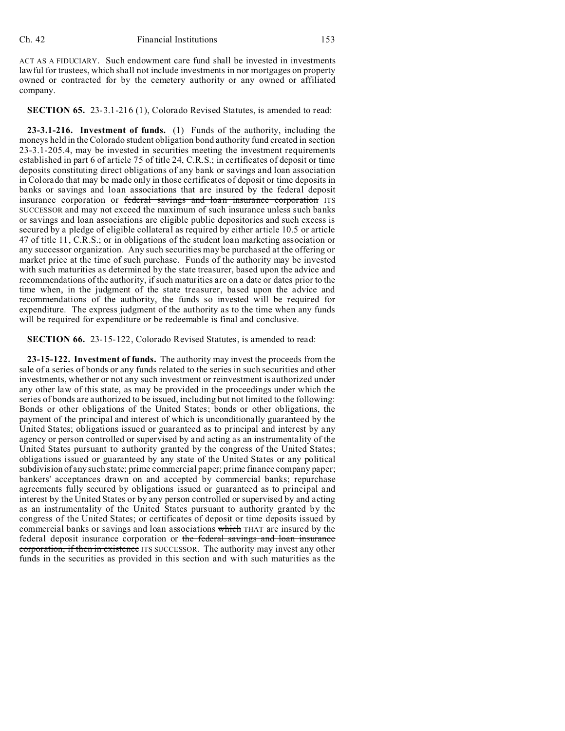ACT AS A FIDUCIARY. Such endowment care fund shall be invested in investments lawful for trustees, which shall not include investments in nor mortgages on property owned or contracted for by the cemetery authority or any owned or affiliated company.

**SECTION 65.** 23-3.1-216 (1), Colorado Revised Statutes, is amended to read:

**23-3.1-216. Investment of funds.** (1) Funds of the authority, including the moneys held in the Colorado student obligation bond authority fund created in section 23-3.1-205.4, may be invested in securities meeting the investment requirements established in part 6 of article 75 of title 24, C.R.S.; in certificates of deposit or time deposits constituting direct obligations of any bank or savings and loan association in Colorado that may be made only in those certificates of deposit or time deposits in banks or savings and loan associations that are insured by the federal deposit insurance corporation or federal savings and loan insurance corporation ITS SUCCESSOR and may not exceed the maximum of such insurance unless such banks or savings and loan associations are eligible public depositories and such excess is secured by a pledge of eligible collateral as required by either article 10.5 or article 47 of title 11, C.R.S.; or in obligations of the student loan marketing association or any successor organization. Any such securities may be purchased at the offering or market price at the time of such purchase. Funds of the authority may be invested with such maturities as determined by the state treasurer, based upon the advice and recommendations of the authority, if such maturities are on a date or dates prior to the time when, in the judgment of the state treasurer, based upon the advice and recommendations of the authority, the funds so invested will be required for expenditure. The express judgment of the authority as to the time when any funds will be required for expenditure or be redeemable is final and conclusive.

**SECTION 66.** 23-15-122, Colorado Revised Statutes, is amended to read:

**23-15-122. Investment of funds.** The authority may invest the proceeds from the sale of a series of bonds or any funds related to the series in such securities and other investments, whether or not any such investment or reinvestment is authorized under any other law of this state, as may be provided in the proceedings under which the series of bonds are authorized to be issued, including but not limited to the following: Bonds or other obligations of the United States; bonds or other obligations, the payment of the principal and interest of which is unconditionally guaranteed by the United States; obligations issued or guaranteed as to principal and interest by any agency or person controlled or supervised by and acting as an instrumentality of the United States pursuant to authority granted by the congress of the United States; obligations issued or guaranteed by any state of the United States or any political subdivision of any such state; prime commercial paper; prime finance company paper; bankers' acceptances drawn on and accepted by commercial banks; repurchase agreements fully secured by obligations issued or guaranteed as to principal and interest by the United States or by any person controlled or supervised by and acting as an instrumentality of the United States pursuant to authority granted by the congress of the United States; or certificates of deposit or time deposits issued by commercial banks or savings and loan associations which THAT are insured by the federal deposit insurance corporation or the federal savings and loan insurance corporation, if then in existence ITS SUCCESSOR. The authority may invest any other funds in the securities as provided in this section and with such maturities as the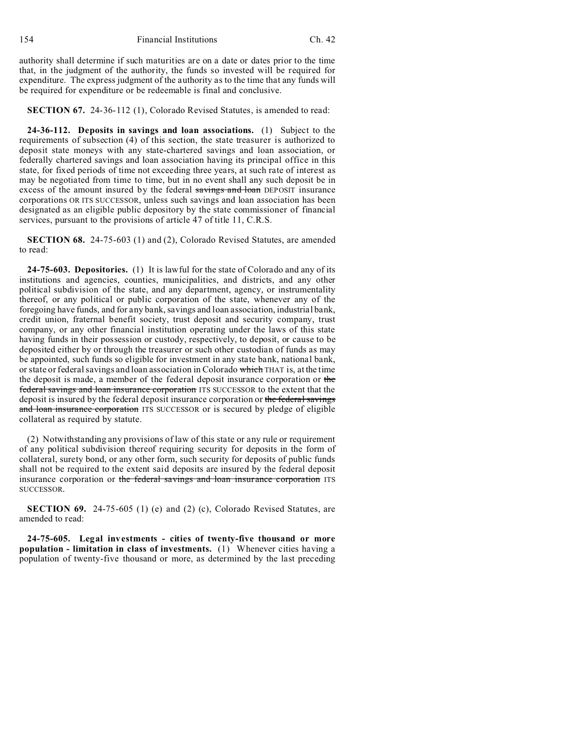authority shall determine if such maturities are on a date or dates prior to the time that, in the judgment of the authority, the funds so invested will be required for expenditure. The express judgment of the authority as to the time that any funds will be required for expenditure or be redeemable is final and conclusive.

**SECTION 67.** 24-36-112 (1), Colorado Revised Statutes, is amended to read:

**24-36-112. Deposits in savings and loan associations.** (1) Subject to the requirements of subsection (4) of this section, the state treasurer is authorized to deposit state moneys with any state-chartered savings and loan association, or federally chartered savings and loan association having its principal office in this state, for fixed periods of time not exceeding three years, at such rate of interest as may be negotiated from time to time, but in no event shall any such deposit be in excess of the amount insured by the federal savings and loan DEPOSIT insurance corporations OR ITS SUCCESSOR, unless such savings and loan association has been designated as an eligible public depository by the state commissioner of financial services, pursuant to the provisions of article 47 of title 11, C.R.S.

**SECTION 68.** 24-75-603 (1) and (2), Colorado Revised Statutes, are amended to read:

**24-75-603. Depositories.** (1) It is lawful for the state of Colorado and any of its institutions and agencies, counties, municipalities, and districts, and any other political subdivision of the state, and any department, agency, or instrumentality thereof, or any political or public corporation of the state, whenever any of the foregoing have funds, and for any bank, savings and loan association, industrial bank, credit union, fraternal benefit society, trust deposit and security company, trust company, or any other financial institution operating under the laws of this state having funds in their possession or custody, respectively, to deposit, or cause to be deposited either by or through the treasurer or such other custodian of funds as may be appointed, such funds so eligible for investment in any state bank, national bank, or state or federal savings and loan association in Colorado which THAT is, at the time the deposit is made, a member of the federal deposit insurance corporation or the federal savings and loan insurance corporation ITS SUCCESSOR to the extent that the deposit is insured by the federal deposit insurance corporation or the federal savings and loan insurance corporation ITS SUCCESSOR or is secured by pledge of eligible collateral as required by statute.

(2) Notwithstanding any provisions of law of this state or any rule or requirement of any political subdivision thereof requiring security for deposits in the form of collateral, surety bond, or any other form, such security for deposits of public funds shall not be required to the extent said deposits are insured by the federal deposit insurance corporation or the federal savings and loan insurance corporation ITS SUCCESSOR.

**SECTION 69.** 24-75-605 (1) (e) and (2) (c), Colorado Revised Statutes, are amended to read:

**24-75-605. Legal investments - cities of twenty-five thousand or more population - limitation in class of investments.** (1) Whenever cities having a population of twenty-five thousand or more, as determined by the last preceding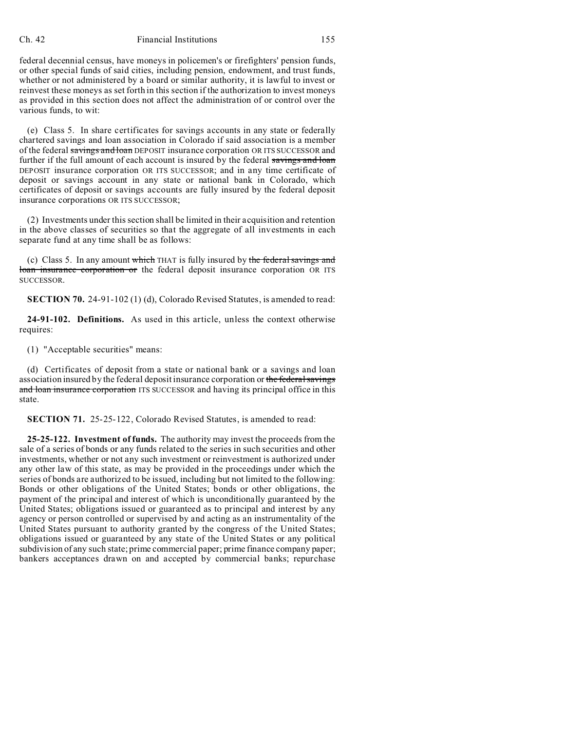## Ch. 42 Financial Institutions 155

federal decennial census, have moneys in policemen's or firefighters' pension funds, or other special funds of said cities, including pension, endowment, and trust funds, whether or not administered by a board or similar authority, it is lawful to invest or reinvest these moneys as set forth in this section if the authorization to invest moneys as provided in this section does not affect the administration of or control over the various funds, to wit:

(e) Class 5. In share certificates for savings accounts in any state or federally chartered savings and loan association in Colorado if said association is a member of the federal savings and loan DEPOSIT insurance corporation OR ITS SUCCESSOR and further if the full amount of each account is insured by the federal savings and loan DEPOSIT insurance corporation OR ITS SUCCESSOR; and in any time certificate of deposit or savings account in any state or national bank in Colorado, which certificates of deposit or savings accounts are fully insured by the federal deposit insurance corporations OR ITS SUCCESSOR;

(2) Investments under this section shall be limited in their acquisition and retention in the above classes of securities so that the aggregate of all investments in each separate fund at any time shall be as follows:

(c) Class 5. In any amount which THAT is fully insured by the federal savings and loan insurance corporation or the federal deposit insurance corporation OR ITS SUCCESSOR.

**SECTION 70.** 24-91-102 (1) (d), Colorado Revised Statutes, is amended to read:

**24-91-102. Definitions.** As used in this article, unless the context otherwise requires:

(1) "Acceptable securities" means:

(d) Certificates of deposit from a state or national bank or a savings and loan association insured by the federal depositinsurance corporation or the federal savings and loan insurance corporation ITS SUCCESSOR and having its principal office in this state.

**SECTION 71.** 25-25-122, Colorado Revised Statutes, is amended to read:

**25-25-122. Investment of funds.** The authority may invest the proceeds from the sale of a series of bonds or any funds related to the series in such securities and other investments, whether or not any such investment or reinvestment is authorized under any other law of this state, as may be provided in the proceedings under which the series of bonds are authorized to be issued, including but not limited to the following: Bonds or other obligations of the United States; bonds or other obligations, the payment of the principal and interest of which is unconditionally guaranteed by the United States; obligations issued or guaranteed as to principal and interest by any agency or person controlled or supervised by and acting as an instrumentality of the United States pursuant to authority granted by the congress of the United States; obligations issued or guaranteed by any state of the United States or any political subdivision of any such state; prime commercial paper; prime finance company paper; bankers acceptances drawn on and accepted by commercial banks; repurchase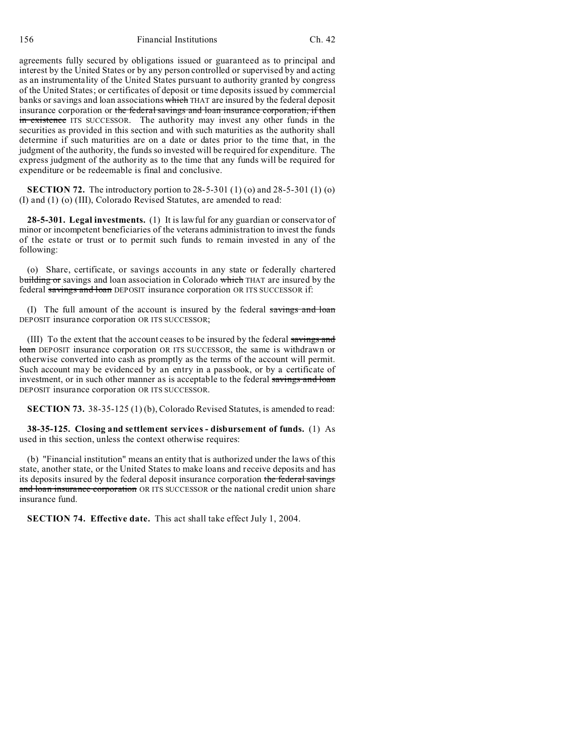156 Financial Institutions Ch. 42

agreements fully secured by obligations issued or guaranteed as to principal and interest by the United States or by any person controlled or supervised by and acting as an instrumentality of the United States pursuant to authority granted by congress of the United States; or certificates of deposit or time deposits issued by commercial banks or savings and loan associations which THAT are insured by the federal deposit insurance corporation or the federal savings and loan insurance corporation, if then in existence ITS SUCCESSOR. The authority may invest any other funds in the securities as provided in this section and with such maturities as the authority shall determine if such maturities are on a date or dates prior to the time that, in the judgment of the authority, the funds so invested will be required for expenditure. The express judgment of the authority as to the time that any funds will be required for expenditure or be redeemable is final and conclusive.

**SECTION 72.** The introductory portion to 28-5-301 (1) (o) and 28-5-301 (1) (o) (I) and (1) (o) (III), Colorado Revised Statutes, are amended to read:

**28-5-301. Legal investments.** (1) It is lawful for any guardian or conservator of minor or incompetent beneficiaries of the veterans administration to invest the funds of the estate or trust or to permit such funds to remain invested in any of the following:

(o) Share, certificate, or savings accounts in any state or federally chartered building or savings and loan association in Colorado which THAT are insured by the federal savings and loan DEPOSIT insurance corporation OR ITS SUCCESSOR if:

(I) The full amount of the account is insured by the federal savings and loan DEPOSIT insurance corporation OR ITS SUCCESSOR;

(III) To the extent that the account ceases to be insured by the federal savings and loan DEPOSIT insurance corporation OR ITS SUCCESSOR, the same is withdrawn or otherwise converted into cash as promptly as the terms of the account will permit. Such account may be evidenced by an entry in a passbook, or by a certificate of investment, or in such other manner as is acceptable to the federal savings and loan DEPOSIT insurance corporation OR ITS SUCCESSOR.

**SECTION 73.** 38-35-125 (1) (b), Colorado Revised Statutes, is amended to read:

**38-35-125. Closing and settlement services - disbursement of funds.** (1) As used in this section, unless the context otherwise requires:

(b) "Financial institution" means an entity that is authorized under the laws of this state, another state, or the United States to make loans and receive deposits and has its deposits insured by the federal deposit insurance corporation the federal savings and loan insurance corporation OR ITS SUCCESSOR or the national credit union share insurance fund.

**SECTION 74. Effective date.** This act shall take effect July 1, 2004.